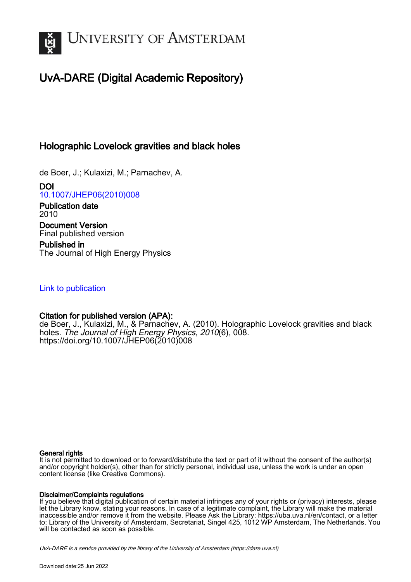

# UvA-DARE (Digital Academic Repository)

## Holographic Lovelock gravities and black holes

de Boer, J.; Kulaxizi, M.; Parnachev, A.

DOI [10.1007/JHEP06\(2010\)008](https://doi.org/10.1007/JHEP06(2010)008)

Publication date 2010 Document Version Final published version

Published in The Journal of High Energy Physics

## [Link to publication](https://dare.uva.nl/personal/pure/en/publications/holographic-lovelock-gravities-and-black-holes(7c81aad4-838e-4b9f-b5f0-e1e775f1922f).html)

### Citation for published version (APA):

de Boer, J., Kulaxizi, M., & Parnachev, A. (2010). Holographic Lovelock gravities and black holes. The Journal of High Energy Physics, 2010(6), 008. [https://doi.org/10.1007/JHEP06\(2010\)008](https://doi.org/10.1007/JHEP06(2010)008)

#### General rights

It is not permitted to download or to forward/distribute the text or part of it without the consent of the author(s) and/or copyright holder(s), other than for strictly personal, individual use, unless the work is under an open content license (like Creative Commons).

#### Disclaimer/Complaints regulations

If you believe that digital publication of certain material infringes any of your rights or (privacy) interests, please let the Library know, stating your reasons. In case of a legitimate complaint, the Library will make the material inaccessible and/or remove it from the website. Please Ask the Library: https://uba.uva.nl/en/contact, or a letter to: Library of the University of Amsterdam, Secretariat, Singel 425, 1012 WP Amsterdam, The Netherlands. You will be contacted as soon as possible.

UvA-DARE is a service provided by the library of the University of Amsterdam (http*s*://dare.uva.nl)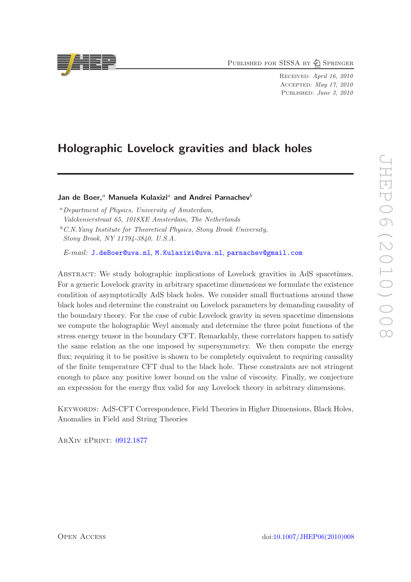PUBLISHED FOR SISSA BY 2 SPRINGER

Received: April 16, 2010 Accepted: May 17, 2010 PUBLISHED: June 3, 2010

## Holographic Lovelock gravities and black holes

#### Jan de Boer,<sup>a</sup> Manuela Kulaxizi<sup>a</sup> and Andrei Parnachev<sup>b</sup>

<sup>a</sup>*Department of Physics, University of Amsterdam, Valckenierstraat 65, 1018XE Amsterdam, The Netherlands* <sup>b</sup>*C.N.Yang Institute for Theoretical Physics, Stony Brook University, Stony Brook, NY 11794-3840, U.S.A.*

*E-mail:* [J.deBoer@uva.nl](mailto:J.deBoer@uva.nl), [M.Kulaxizi@uva.nl](mailto:M.Kulaxizi@uva.nl), [parnachev@gmail.com](mailto:parnachev@gmail.com)

Abstract: We study holographic implications of Lovelock gravities in AdS spacetimes. For a generic Lovelock gravity in arbitrary spacetime dimensions we formulate the existence condition of asymptotically AdS black holes. We consider small fluctuations around these black holes and determine the constraint on Lovelock parameters by demanding causality of the boundary theory. For the case of cubic Lovelock gravity in seven spacetime dimensions we compute the holographic Weyl anomaly and determine the three point functions of the stress energy tensor in the boundary CFT. Remarkably, these correlators happen to satisfy the same relation as the one imposed by supersymmetry. We then compute the energy flux; requiring it to be positive is shown to be completely equivalent to requiring causality of the finite temperature CFT dual to the black hole. These constraints are not stringent enough to place any positive lower bound on the value of viscosity. Finally, we conjecture an expression for the energy flux valid for any Lovelock theory in arbitrary dimensions.

Keywords: AdS-CFT Correspondence, Field Theories in Higher Dimensions, Black Holes, Anomalies in Field and String Theories

ArXiv ePrint: [0912.1877](http://arxiv.org/abs/0912.1877)

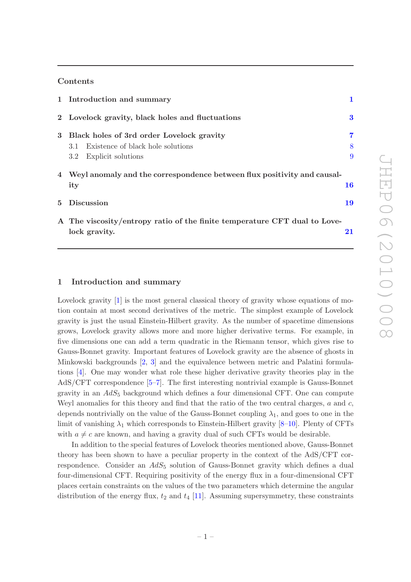#### Contents

|  | 1 Introduction and summary                                                |           |
|--|---------------------------------------------------------------------------|-----------|
|  | 2 Lovelock gravity, black holes and fluctuations                          | $\bf{3}$  |
|  | 3 Black holes of 3rd order Lovelock gravity                               | 7         |
|  | 3.1 Existence of black hole solutions                                     | 8         |
|  | Explicit solutions<br>$3.2\phantom{0}$                                    | 9         |
|  | 4 Weyl anomaly and the correspondence between flux positivity and causal- |           |
|  | ity                                                                       | <b>16</b> |
|  | 5 Discussion                                                              | 19        |
|  | A The viscosity/entropy ratio of the finite temperature CFT dual to Love- |           |
|  | lock gravity.                                                             | 21        |

#### <span id="page-2-0"></span>1 Introduction and summary

Lovelock gravity [\[1\]](#page-25-0) is the most general classical theory of gravity whose equations of motion contain at most second derivatives of the metric. The simplest example of Lovelock gravity is just the usual Einstein-Hilbert gravity. As the number of spacetime dimensions grows, Lovelock gravity allows more and more higher derivative terms. For example, in five dimensions one can add a term quadratic in the Riemann tensor, which gives rise to Gauss-Bonnet gravity. Important features of Lovelock gravity are the absence of ghosts in Minkowski backgrounds [\[2,](#page-25-1) [3\]](#page-26-0) and the equivalence between metric and Palatini formulations [\[4](#page-26-1)]. One may wonder what role these higher derivative gravity theories play in the AdS/CFT correspondence [\[5](#page-26-2)[–7](#page-26-3)]. The first interesting nontrivial example is Gauss-Bonnet gravity in an  $AdS_5$  background which defines a four dimensional CFT. One can compute Weyl anomalies for this theory and find that the ratio of the two central charges,  $a$  and  $c$ , depends nontrivially on the value of the Gauss-Bonnet coupling  $\lambda_1$ , and goes to one in the limit of vanishing  $\lambda_1$  which corresponds to Einstein-Hilbert gravity [\[8](#page-26-4)[–10\]](#page-26-5). Plenty of CFTs with  $a \neq c$  are known, and having a gravity dual of such CFTs would be desirable.

In addition to the special features of Lovelock theories mentioned above, Gauss-Bonnet theory has been shown to have a peculiar property in the context of the AdS/CFT correspondence. Consider an  $AdS_5$  solution of Gauss-Bonnet gravity which defines a dual four-dimensional CFT. Requiring positivity of the energy flux in a four-dimensional CFT places certain constraints on the values of the two parameters which determine the angular distribution of the energy flux,  $t_2$  and  $t_4$  [\[11](#page-26-6)]. Assuming supersymmetry, these constraints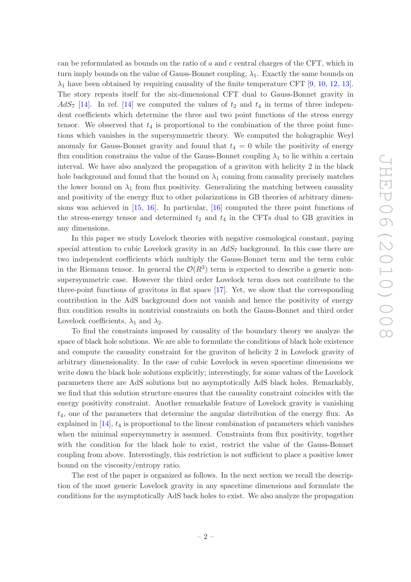can be reformulated as bounds on the ratio of  $a$  and  $c$  central charges of the CFT, which in turn imply bounds on the value of Gauss-Bonnet coupling,  $\lambda_1$ . Exactly the same bounds on  $\lambda_1$  have been obtained by requiring causality of the finite temperature CFT [\[9,](#page-26-7) [10](#page-26-5), [12](#page-26-8), [13\]](#page-26-9). The story repeats itself for the six-dimensional CFT dual to Gauss-Bonnet gravity in  $AdS_7$  [\[14](#page-26-10)]. In ref. [\[14](#page-26-10)] we computed the values of  $t_2$  and  $t_4$  in terms of three independent coefficients which determine the three and two point functions of the stress energy tensor. We observed that  $t_4$  is proportional to the combination of the three point functions which vanishes in the supersymmetric theory. We computed the holographic Weyl anomaly for Gauss-Bonnet gravity and found that  $t_4 = 0$  while the positivity of energy flux condition constrains the value of the Gauss-Bonnet coupling  $\lambda_1$  to lie within a certain interval. We have also analyzed the propagation of a graviton with helicity 2 in the black hole background and found that the bound on  $\lambda_1$  coming from causality precisely matches the lower bound on  $\lambda_1$  from flux positivity. Generalizing the matching between causality and positivity of the energy flux to other polarizations in GB theories of arbitrary dimensions was achieved in [\[15,](#page-26-11) [16](#page-26-12)]. In particular, [\[16](#page-26-12)] computed the three point functions of the stress-energy tensor and determined  $t_2$  and  $t_4$  in the CFTs dual to GB gravities in any dimensions.

In this paper we study Lovelock theories with negative cosmological constant, paying special attention to cubic Lovelock gravity in an  $AdS_7$  background. In this case there are two independent coefficients which multiply the Gauss-Bonnet term and the term cubic in the Riemann tensor. In general the  $\mathcal{O}(R^3)$  term is expected to describe a generic nonsupersymmetric case. However the third order Lovelock term does not contribute to the three-point functions of gravitons in flat space [\[17\]](#page-26-13). Yet, we show that the corresponding contribution in the AdS background does not vanish and hence the positivity of energy flux condition results in nontrivial constraints on both the Gauss-Bonnet and third order Lovelock coefficients,  $\lambda_1$  and  $\lambda_2$ .

To find the constraints imposed by causality of the boundary theory we analyze the space of black hole solutions. We are able to formulate the conditions of black hole existence and compute the causality constraint for the graviton of helicity 2 in Lovelock gravity of arbitrary dimensionality. In the case of cubic Lovelock in seven spacetime dimensions we write down the black hole solutions explicitly; interestingly, for some values of the Lovelock parameters there are AdS solutions but no asymptotically AdS black holes. Remarkably, we find that this solution structure ensures that the causality constraint coincides with the energy positivity constraint. Another remarkable feature of Lovelock gravity is vanishing  $t_4$ , one of the parameters that determine the angular distribution of the energy flux. As explained in  $[14]$ ,  $t_4$  is proportional to the linear combination of parameters which vanishes when the minimal supersymmetry is assumed. Constraints from flux positivity, together with the condition for the black hole to exist, restrict the value of the Gauss-Bonnet coupling from above. Interestingly, this restriction is not sufficient to place a positive lower bound on the viscosity/entropy ratio.

The rest of the paper is organized as follows. In the next section we recall the description of the most generic Lovelock gravity in any spacetime dimensions and formulate the conditions for the asymptotically AdS back holes to exist. We also analyze the propagation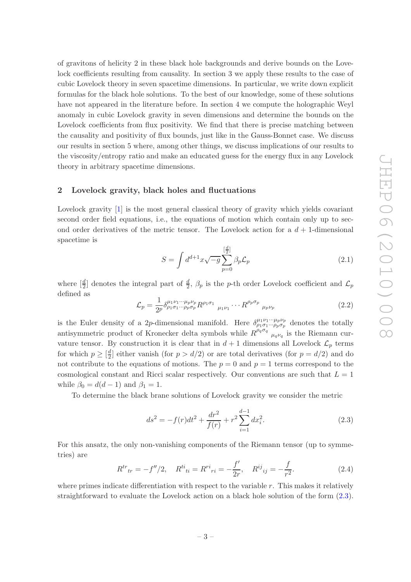of gravitons of helicity 2 in these black hole backgrounds and derive bounds on the Lovelock coefficients resulting from causality. In section 3 we apply these results to the case of cubic Lovelock theory in seven spacetime dimensions. In particular, we write down explicit formulas for the black hole solutions. To the best of our knowledge, some of these solutions have not appeared in the literature before. In section 4 we compute the holographic Weyl anomaly in cubic Lovelock gravity in seven dimensions and determine the bounds on the Lovelock coefficients from flux positivity. We find that there is precise matching between the causality and positivity of flux bounds, just like in the Gauss-Bonnet case. We discuss our results in section 5 where, among other things, we discuss implications of our results to the viscosity/entropy ratio and make an educated guess for the energy flux in any Lovelock theory in arbitrary spacetime dimensions.

#### <span id="page-4-0"></span>2 Lovelock gravity, black holes and fluctuations

Lovelock gravity [\[1\]](#page-25-0) is the most general classical theory of gravity which yields covariant second order field equations, i.e., the equations of motion which contain only up to second order derivatives of the metric tensor. The Lovelock action for a  $d+1$ -dimensional spacetime is

$$
S = \int d^{d+1}x \sqrt{-g} \sum_{p=0}^{\left[\frac{d}{2}\right]} \beta_p \mathcal{L}_p \tag{2.1}
$$

where  $[\frac{d}{2}]$  denotes the integral part of  $\frac{d}{2}$ ,  $\beta_p$  is the p-th order Lovelock coefficient and  $\mathcal{L}_p$ defined as

<span id="page-4-2"></span>
$$
\mathcal{L}_p = \frac{1}{2^p} \delta^{\mu_1 \nu_1 \cdots \mu_p \nu_p}_{\rho_1 \sigma_1 \cdots \rho_p \sigma_p} R^{\rho_1 \sigma_1} \Psi_{\mu_1 \nu_1} \cdots R^{\rho_p \sigma_p} \Psi_{\mu_p \nu_p}
$$
(2.2)

is the Euler density of a 2p-dimensional manifold. Here  $\delta^{\mu_1\nu_1\cdots\mu_p\nu_p}_{\rho_1\sigma_1\cdots\rho_p\sigma_p}$  denotes the totally antisymmetric product of Kronecker delta symbols while  $R^{\rho_q \sigma_q}$   $\prod_{\mu_q \nu_q}$  is the Riemann curvature tensor. By construction it is clear that in  $d+1$  dimensions all Lovelock  $\mathcal{L}_p$  terms for which  $p \geq \left[\frac{d}{2}\right]$  $\frac{d}{2}$  either vanish (for  $p > d/2$ ) or are total derivatives (for  $p = d/2$ ) and do not contribute to the equations of motions. The  $p = 0$  and  $p = 1$  terms correspond to the cosmological constant and Ricci scalar respectively. Our conventions are such that  $L = 1$ while  $\beta_0 = d(d-1)$  and  $\beta_1 = 1$ .

To determine the black brane solutions of Lovelock gravity we consider the metric

<span id="page-4-1"></span>
$$
ds^{2} = -f(r)dt^{2} + \frac{dr^{2}}{f(r)} + r^{2} \sum_{i=1}^{d-1} dx_{i}^{2}.
$$
 (2.3)

For this ansatz, the only non-vanishing components of the Riemann tensor (up to symmetries) are

$$
R^{tr}_{tr} = -f''/2, \quad R^{ti}_{ti} = R^{ri}_{ri} = -\frac{f'}{2r}, \quad R^{ij}_{ij} = -\frac{f}{r^2}.
$$
 (2.4)

where primes indicate differentiation with respect to the variable  $r$ . This makes it relatively straightforward to evaluate the Lovelock action on a black hole solution of the form [\(2.3\)](#page-4-1).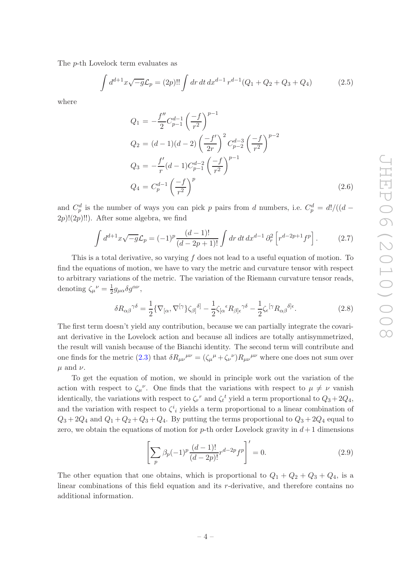The p-th Lovelock term evaluates as

$$
\int d^{d+1}x \sqrt{-g} \mathcal{L}_p = (2p)!! \int dr \, dt \, dx^{d-1} r^{d-1} (Q_1 + Q_2 + Q_3 + Q_4)
$$
 (2.5)

where

$$
Q_1 = -\frac{f''}{2} C_{p-1}^{d-1} \left(\frac{-f}{r^2}\right)^{p-1}
$$
  
\n
$$
Q_2 = (d-1)(d-2) \left(\frac{-f'}{2r}\right)^2 C_{p-2}^{d-3} \left(\frac{-f}{r^2}\right)^{p-2}
$$
  
\n
$$
Q_3 = -\frac{f'}{r} (d-1) C_{p-1}^{d-2} \left(\frac{-f}{r^2}\right)^{p-1}
$$
  
\n
$$
Q_4 = C_p^{d-1} \left(\frac{-f}{r^2}\right)^p
$$
\n(2.6)

and  $C_p^d$  is the number of ways you can pick p pairs from d numbers, i.e.  $C_p^d = d!/((d 2p$ !! $(2p)$ !!). After some algebra, we find

$$
\int d^{d+1}x \sqrt{-g} \mathcal{L}_p = (-1)^p \frac{(d-1)!}{(d-2p+1)!} \int dr \, dt \, dx^{d-1} \partial_r^2 \left[ r^{d-2p+1} f^p \right]. \tag{2.7}
$$

This is a total derivative, so varying  $f$  does not lead to a useful equation of motion. To find the equations of motion, we have to vary the metric and curvature tensor with respect to arbitrary variations of the metric. The variation of the Riemann curvature tensor reads, denoting  $\zeta_{\mu}{}^{\nu} = \frac{1}{2}$  $\frac{1}{2}g_{\mu\alpha}\delta g^{\alpha\nu},$ 

$$
\delta R_{\alpha\beta}^{\gamma\delta} = \frac{1}{2} \{ \nabla_{[\alpha} , \nabla^{[\gamma} \zeta_{\beta]}^{\delta]} - \frac{1}{2} \zeta_{[\alpha}^{\epsilon} R_{\beta] \epsilon}^{\gamma\delta} - \frac{1}{2} \zeta_{\epsilon}^{[\gamma} R_{\alpha\beta}^{\delta]}^{\delta \epsilon} . \tag{2.8}
$$

The first term doesn't yield any contribution, because we can partially integrate the covariant derivative in the Lovelock action and because all indices are totally antisymmetrized, the result will vanish because of the Bianchi identity. The second term will contribute and one finds for the metric [\(2.3\)](#page-4-1) that  $\delta R_{\mu\nu}{}^{\mu\nu} = (\zeta_{\mu}{}^{\mu} + \zeta_{\nu}{}^{\nu}) R_{\mu\nu}{}^{\mu\nu}$  where one does not sum over  $\mu$  and  $\nu$ .

To get the equation of motion, we should in principle work out the variation of the action with respect to  $\zeta_{\mu}^{\nu}$ . One finds that the variations with respect to  $\mu \neq \nu$  vanish identically, the variations with respect to  $\zeta_r^r$  and  $\zeta_t^t$  yield a term proportional to  $Q_3 + 2Q_4$ , and the variation with respect to  $\zeta^i_i$  yields a term proportional to a linear combination of  $Q_3 + 2Q_4$  and  $Q_1 + Q_2 + Q_3 + Q_4$ . By putting the terms proportional to  $Q_3 + 2Q_4$  equal to zero, we obtain the equations of motion for p-th order Lovelock gravity in  $d+1$  dimensions

<span id="page-5-0"></span>
$$
\left[\sum_{p} \beta_p (-1)^p \frac{(d-1)!}{(d-2p)!} r^{d-2p} f^p\right]' = 0.
$$
\n(2.9)

The other equation that one obtains, which is proportional to  $Q_1 + Q_2 + Q_3 + Q_4$ , is a linear combinations of this field equation and its r-derivative, and therefore contains no additional information.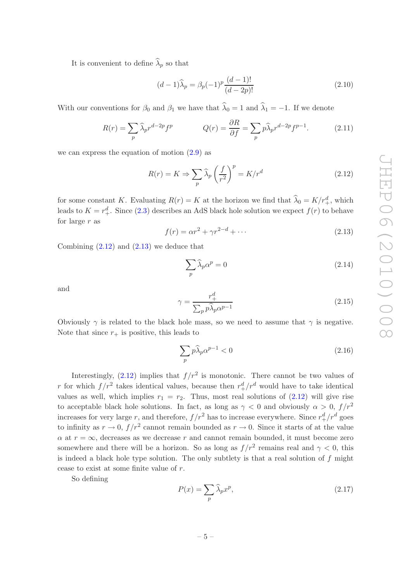It is convenient to define  $\lambda_p$  so that

<span id="page-6-4"></span>
$$
(d-1)\widehat{\lambda}_p = \beta_p(-1)^p \frac{(d-1)!}{(d-2p)!}
$$
\n(2.10)

With our conventions for  $\beta_0$  and  $\beta_1$  we have that  $\lambda_0 = 1$  and  $\lambda_1 = -1$ . If we denote

<span id="page-6-2"></span>
$$
R(r) = \sum_{p} \widehat{\lambda}_{p} r^{d-2p} f^{p} \qquad Q(r) = \frac{\partial R}{\partial f} = \sum_{p} p \widehat{\lambda}_{p} r^{d-2p} f^{p-1}.
$$
 (2.11)

we can express the equation of motion  $(2.9)$  as

<span id="page-6-0"></span>
$$
R(r) = K \Rightarrow \sum_{p} \widehat{\lambda}_{p} \left(\frac{f}{r^2}\right)^p = K/r^d \tag{2.12}
$$

for some constant K. Evaluating  $R(r) = K$  at the horizon we find that  $\hat{\lambda}_0 = K/r_+^d$ , which leads to  $K = r_+^d$ . Since [\(2.3\)](#page-4-1) describes an AdS black hole solution we expect  $f(r)$  to behave for large  $r$  as

<span id="page-6-1"></span>
$$
f(r) = \alpha r^2 + \gamma r^{2-d} + \cdots \tag{2.13}
$$

Combining  $(2.12)$  and  $(2.13)$  we deduce that

<span id="page-6-6"></span>
$$
\sum_{p} \widehat{\lambda}_p \alpha^p = 0 \tag{2.14}
$$

and

<span id="page-6-3"></span>
$$
\gamma = \frac{r_+^d}{\sum_p p \widehat{\lambda}_p \alpha^{p-1}}\tag{2.15}
$$

Obviously  $\gamma$  is related to the black hole mass, so we need to assume that  $\gamma$  is negative. Note that since  $r_+$  is positive, this leads to

<span id="page-6-7"></span>
$$
\sum_{p} p\hat{\lambda}_p \alpha^{p-1} < 0 \tag{2.16}
$$

Interestingly,  $(2.12)$  implies that  $f/r^2$  is monotonic. There cannot be two values of r for which  $f/r^2$  takes identical values, because then  $r^d_+/r^d$  would have to take identical values as well, which implies  $r_1 = r_2$ . Thus, most real solutions of  $(2.12)$  will give rise to acceptable black hole solutions. In fact, as long as  $\gamma < 0$  and obviously  $\alpha > 0$ ,  $f/r^2$ increases for very large r, and therefore,  $f/r^2$  has to increase everywhere. Since  $r_+^d/r^d$  goes to infinity as  $r \to 0$ ,  $f/r^2$  cannot remain bounded as  $r \to 0$ . Since it starts of at the value  $\alpha$  at  $r = \infty$ , decreases as we decrease r and cannot remain bounded, it must become zero somewhere and there will be a horizon. So as long as  $f/r^2$  remains real and  $\gamma < 0$ , this is indeed a black hole type solution. The only subtlety is that a real solution of  $f$  might cease to exist at some finite value of r.

So defining

<span id="page-6-5"></span>
$$
P(x) = \sum_{p} \widehat{\lambda}_p x^p, \qquad (2.17)
$$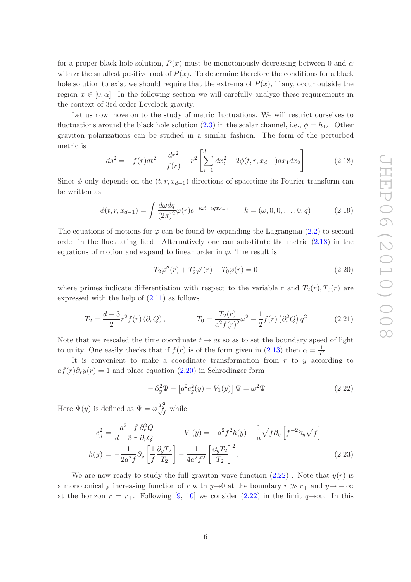for a proper black hole solution,  $P(x)$  must be monotonously decreasing between 0 and  $\alpha$ with  $\alpha$  the smallest positive root of  $P(x)$ . To determine therefore the conditions for a black hole solution to exist we should require that the extrema of  $P(x)$ , if any, occur outside the region  $x \in [0, \alpha]$ . In the following section we will carefully analyze these requirements in the context of 3rd order Lovelock gravity.

Let us now move on to the study of metric fluctuations. We will restrict ourselves to fluctuations around the black hole solution [\(2.3\)](#page-4-1) in the scalar channel, i.e.,  $\phi = h_{12}$ . Other graviton polarizations can be studied in a similar fashion. The form of the perturbed metric is

<span id="page-7-0"></span>
$$
ds^{2} = -f(r)dt^{2} + \frac{dr^{2}}{f(r)} + r^{2} \left[ \sum_{i=1}^{d-1} dx_{i}^{2} + 2\phi(t, r, x_{d-1}) dx_{1} dx_{2} \right]
$$
(2.18)

Since  $\phi$  only depends on the  $(t, r, x_{d-1})$  directions of spacetime its Fourier transform can be written as

<span id="page-7-4"></span>
$$
\phi(t, r, x_{d-1}) = \int \frac{d\omega dq}{(2\pi)^2} \varphi(r) e^{-i\omega t + iqx_{d-1}} \qquad k = (\omega, 0, 0, \dots, 0, q) \tag{2.19}
$$

The equations of motions for  $\varphi$  can be found by expanding the Lagrangian [\(2.2\)](#page-4-2) to second order in the fluctuating field. Alternatively one can substitute the metric [\(2.18\)](#page-7-0) in the equations of motion and expand to linear order in  $\varphi$ . The result is

<span id="page-7-1"></span>
$$
T_2\varphi''(r) + T_2'\varphi'(r) + T_0\varphi(r) = 0
$$
\n(2.20)

where primes indicate differentiation with respect to the variable r and  $T_2(r), T_0(r)$  are expressed with the help of  $(2.11)$  as follows

<span id="page-7-5"></span>
$$
T_2 = \frac{d-3}{2}r^2 f(r) (\partial_r Q), \qquad T_0 = \frac{T_2(r)}{a^2 f(r)^2} \omega^2 - \frac{1}{2} f(r) (\partial_r^2 Q) q^2 \qquad (2.21)
$$

Note that we rescaled the time coordinate  $t \to at$  so as to set the boundary speed of light to unity. One easily checks that if  $f(r)$  is of the form given in [\(2.13\)](#page-6-1) then  $\alpha = \frac{1}{\alpha^2}$  $rac{1}{a^2}$ .

It is convenient to make a coordinate transformation from  $r$  to  $y$  according to  $af(r)\partial_r y(r) = 1$  and place equation [\(2.20\)](#page-7-1) in Schrodinger form

<span id="page-7-2"></span>
$$
-\partial_y^2 \Psi + \left[q^2 c_g^2(y) + V_1(y)\right] \Psi = \omega^2 \Psi \qquad (2.22)
$$

Here  $\Psi(y)$  is defined as  $\Psi = \varphi \frac{T_2^2}{\sqrt{f}}$  while

<span id="page-7-3"></span>
$$
c_g^2 = \frac{a^2}{d-3} \frac{f}{r} \frac{\partial_r^2 Q}{\partial_r Q} \qquad V_1(y) = -a^2 f^2 h(y) - \frac{1}{a} \sqrt{f} \partial_y \left[ f^{-2} \partial_y \sqrt{f} \right]
$$

$$
h(y) = -\frac{1}{2a^2 f} \partial_y \left[ \frac{1}{f} \frac{\partial_y T_2}{T_2} \right] - \frac{1}{4a^2 f^2} \left[ \frac{\partial_y T_2}{T_2} \right]^2.
$$
(2.23)

We are now ready to study the full graviton wave function  $(2.22)$ . Note that  $y(r)$  is a monotonically increasing function of r with  $y\rightarrow 0$  at the boundary  $r \gg r_+$  and  $y\rightarrow -\infty$ at the horizon  $r = r_+$ . Following [\[9](#page-26-7), [10](#page-26-5)] we consider [\(2.22\)](#page-7-2) in the limit  $q \rightarrow \infty$ . In this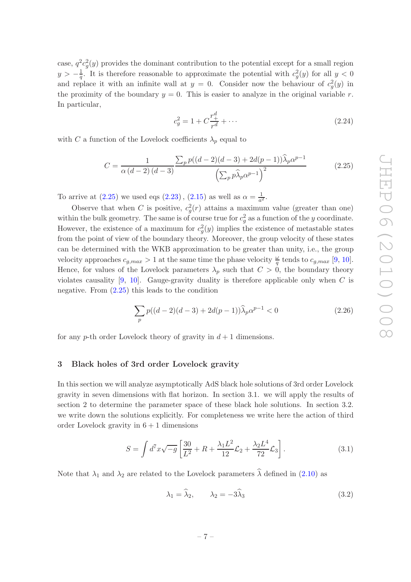case,  $q^2c_g^2(y)$  provides the dominant contribution to the potential except for a small region  $y > -\frac{1}{q}$ . It is therefore reasonable to approximate the potential with  $c_g^2(y)$  for all  $y < 0$ and replace it with an infinite wall at  $y = 0$ . Consider now the behaviour of  $c_g^2(y)$  in the proximity of the boundary  $y = 0$ . This is easier to analyze in the original variable r. In particular,

$$
c_g^2 = 1 + C \frac{r_+^d}{r^d} + \dots \tag{2.24}
$$

with C a function of the Lovelock coefficients  $\lambda_p$  equal to

<span id="page-8-1"></span>
$$
C = \frac{1}{\alpha (d-2)(d-3)} \frac{\sum_{p} p((d-2)(d-3) + 2d(p-1))\hat{\lambda}_{p}\alpha^{p-1}}{\left(\sum_{p} p\hat{\lambda}_{p}\alpha^{p-1}\right)^{2}}
$$
(2.25)

To arrive at  $(2.25)$  we used eqs  $(2.23)$ ,  $(2.15)$  as well as  $\alpha = \frac{1}{\alpha^2}$  $\frac{1}{a^2}$ .

Observe that when C is positive,  $c_g^2(r)$  attains a maximum value (greater than one) within the bulk geometry. The same is of course true for  $c_g^2$  as a function of the y coordinate. However, the existence of a maximum for  $c_g^2(y)$  implies the existence of metastable states from the point of view of the boundary theory. Moreover, the group velocity of these states can be determined with the WKB approximation to be greater than unity, i.e., the group velocity approaches  $c_{g,max} > 1$  at the same time the phase velocity  $\frac{\omega}{q}$  tends to  $c_{g,max}$  [\[9](#page-26-7), [10\]](#page-26-5). Hence, for values of the Lovelock parameters  $\lambda_p$  such that  $C > 0$ , the boundary theory violates causality  $[9, 10]$  $[9, 10]$ . Gauge-gravity duality is therefore applicable only when C is negative. From  $(2.25)$  this leads to the condition

<span id="page-8-3"></span>
$$
\sum_{p} p((d-2)(d-3) + 2d(p-1))\widehat{\lambda}_p \alpha^{p-1} < 0 \tag{2.26}
$$

for any p-th order Lovelock theory of gravity in  $d+1$  dimensions.

#### <span id="page-8-0"></span>3 Black holes of 3rd order Lovelock gravity

In this section we will analyze asymptotically AdS black hole solutions of 3rd order Lovelock gravity in seven dimensions with flat horizon. In section 3.1. we will apply the results of section 2 to determine the parameter space of these black hole solutions. In section 3.2. we write down the solutions explicitly. For completeness we write here the action of third order Lovelock gravity in  $6 + 1$  dimensions

<span id="page-8-2"></span>
$$
S = \int d^7 x \sqrt{-g} \left[ \frac{30}{L^2} + R + \frac{\lambda_1 L^2}{12} \mathcal{L}_2 + \frac{\lambda_2 L^4}{72} \mathcal{L}_3 \right].
$$
 (3.1)

Note that  $\lambda_1$  and  $\lambda_2$  are related to the Lovelock parameters  $\widehat{\lambda}$  defined in [\(2.10\)](#page-6-4) as

$$
\lambda_1 = \widehat{\lambda}_2, \qquad \lambda_2 = -3\widehat{\lambda}_3 \tag{3.2}
$$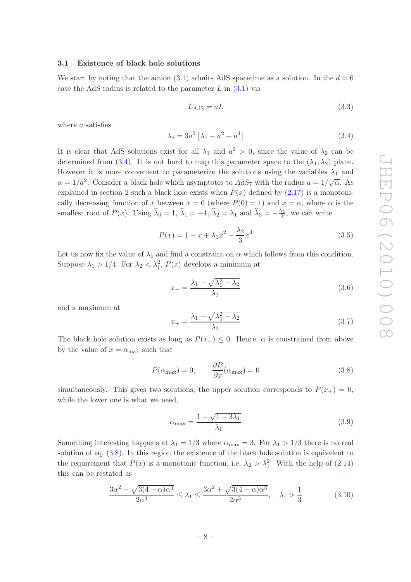#### <span id="page-9-0"></span>3.1 Existence of black hole solutions

We start by noting that the action [\(3.1\)](#page-8-2) admits AdS spacetime as a solution. In the  $d = 6$ case the AdS radius is related to the parameter  $L$  in  $(3.1)$  via

$$
L_{\rm AdS} = aL \tag{3.3}
$$

where a satisfies

<span id="page-9-1"></span>
$$
\lambda_2 = 3a^2 \left[ \lambda_1 - a^2 + a^4 \right] \tag{3.4}
$$

It is clear that AdS solutions exist for all  $\lambda_1$  and  $a^2 > 0$ , since the value of  $\lambda_2$  can be determined from [\(3.4\)](#page-9-1). It is not hard to map this parameter space to the  $(\lambda_1, \lambda_2)$  plane. However it is more convenient to parameterize the solutions using the variables  $\lambda_1$  and  $\alpha = 1/a^2$ . Consider a black hole which asymptotes to  $AdS_7$  with the radius  $a = 1/\sqrt{\alpha}$ . As explained in section 2 such a black hole exists when  $P(x)$  defined by  $(2.17)$  is a monotonically decreasing function of x between  $x = 0$  (where  $P(0) = 1$ ) and  $x = \alpha$ , where  $\alpha$  is the smallest root of  $P(x)$ . Using  $\hat{\lambda}_0 = 1$ ,  $\hat{\lambda}_1 = -1$ ,  $\hat{\lambda}_2 = \lambda_1$  and  $\hat{\lambda}_3 = -\frac{\lambda_2}{3}$  $\frac{\lambda_2}{3}$ , we can write

$$
P(x) = 1 - x + \lambda_1 x^2 - \frac{\lambda_2}{3} x^3
$$
\n(3.5)

Let us now fix the value of  $\lambda_1$  and find a constraint on  $\alpha$  which follows from this condition. Suppose  $\lambda_1 > 1/4$ . For  $\lambda_2 < \lambda_1^2$ ,  $P(x)$  develops a minimum at

$$
x_{-} = \frac{\lambda_1 - \sqrt{\lambda_1^2 - \lambda_2}}{\lambda_2} \tag{3.6}
$$

and a maximum at

$$
x_{+} = \frac{\lambda_1 + \sqrt{\lambda_1^2 - \lambda_2}}{\lambda_2} \tag{3.7}
$$

The black hole solution exists as long as  $P(x<sub>-</sub>) \leq 0$ . Hence,  $\alpha$  is constrained from above by the value of  $x = \alpha_{\text{max}}$  such that

<span id="page-9-2"></span>
$$
P(\alpha_{\text{max}}) = 0, \qquad \frac{\partial P}{\partial x}(\alpha_{\text{max}}) = 0 \tag{3.8}
$$

simultaneously. This gives two solutions; the upper solution corresponds to  $P(x_{+}) = 0$ , while the lower one is what we need,

<span id="page-9-4"></span>
$$
\alpha_{\text{max}} = \frac{1 - \sqrt{1 - 3\lambda_1}}{\lambda_1} \tag{3.9}
$$

Something interesting happens at  $\lambda_1 = 1/3$  where  $\alpha_{\text{max}} = 3$ . For  $\lambda_1 > 1/3$  there is no real solution of eq. [\(3.8\)](#page-9-2). In this region the existence of the black hole solution is equivalent to the requirement that  $P(x)$  is a monotonic function, i.e.  $\lambda_2 > \lambda_1^2$ . With the help of [\(2.14\)](#page-6-6) this can be restated as

<span id="page-9-3"></span>
$$
\frac{3\alpha^2 - \sqrt{3(4-\alpha)\alpha^3}}{2\alpha^3} \le \lambda_1 \le \frac{3\alpha^2 + \sqrt{3(4-\alpha)\alpha^3}}{2\alpha^3}, \quad \lambda_1 > \frac{1}{3}
$$
(3.10)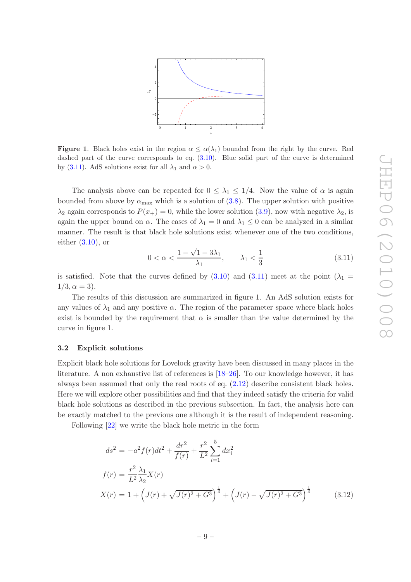

**Figure 1.** Black holes exist in the region  $\alpha \leq \alpha(\lambda_1)$  bounded from the right by the curve. Red dashed part of the curve corresponds to eq.  $(3.10)$ . Blue solid part of the curve is determined by [\(3.11\)](#page-10-1). AdS solutions exist for all  $\lambda_1$  and  $\alpha > 0$ .

The analysis above can be repeated for  $0 \leq \lambda_1 \leq 1/4$ . Now the value of  $\alpha$  is again bounded from above by  $\alpha_{\text{max}}$  which is a solution of [\(3.8\)](#page-9-2). The upper solution with positive  $\lambda_2$  again corresponds to  $P(x_+) = 0$ , while the lower solution [\(3.9\)](#page-9-4), now with negative  $\lambda_2$ , is again the upper bound on  $\alpha$ . The cases of  $\lambda_1 = 0$  and  $\lambda_1 \leq 0$  can be analyzed in a similar manner. The result is that black hole solutions exist whenever one of the two conditions, either  $(3.10)$ , or

<span id="page-10-1"></span>
$$
0 < \alpha < \frac{1 - \sqrt{1 - 3\lambda_1}}{\lambda_1}, \qquad \lambda_1 < \frac{1}{3} \tag{3.11}
$$

is satisfied. Note that the curves defined by  $(3.10)$  and  $(3.11)$  meet at the point  $(\lambda_1 =$  $1/3, \alpha = 3$ ).

The results of this discussion are summarized in figure 1. An AdS solution exists for any values of  $\lambda_1$  and any positive  $\alpha$ . The region of the parameter space where black holes exist is bounded by the requirement that  $\alpha$  is smaller than the value determined by the curve in figure 1.

#### <span id="page-10-0"></span>3.2 Explicit solutions

Explicit black hole solutions for Lovelock gravity have been discussed in many places in the literature. A non exhaustive list of references is [\[18](#page-26-14)[–26](#page-27-0)]. To our knowledge however, it has always been assumed that only the real roots of eq. [\(2.12\)](#page-6-0) describe consistent black holes. Here we will explore other possibilities and find that they indeed satisfy the criteria for valid black hole solutions as described in the previous subsection. In fact, the analysis here can be exactly matched to the previous one although it is the result of independent reasoning.

Following [\[22](#page-26-15)] we write the black hole metric in the form

<span id="page-10-2"></span>
$$
ds^{2} = -a^{2} f(r)dt^{2} + \frac{dr^{2}}{f(r)} + \frac{r^{2}}{L^{2}} \sum_{i=1}^{5} dx_{i}^{2}
$$
  
\n
$$
f(r) = \frac{r^{2}}{L^{2}} \frac{\lambda_{1}}{\lambda_{2}} X(r)
$$
  
\n
$$
X(r) = 1 + \left( J(r) + \sqrt{J(r)^{2} + G^{3}} \right)^{\frac{1}{3}} + \left( J(r) - \sqrt{J(r)^{2} + G^{3}} \right)^{\frac{1}{3}}
$$
(3.12)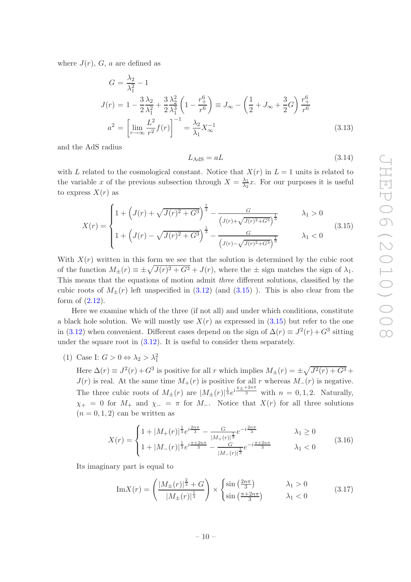where  $J(r)$ , G, a are defined as

<span id="page-11-1"></span>
$$
G = \frac{\lambda_2}{\lambda_1^2} - 1
$$
  
\n
$$
J(r) = 1 - \frac{3}{2} \frac{\lambda_2}{\lambda_1^2} + \frac{3}{2} \frac{\lambda_2^2}{\lambda_1^3} \left( 1 - \frac{r_+^6}{r^6} \right) \equiv J_\infty - \left( \frac{1}{2} + J_\infty + \frac{3}{2} G \right) \frac{r_+^6}{r^6}
$$
  
\n
$$
a^2 = \left[ \lim_{r \to \infty} \frac{L^2}{r^2} f(r) \right]^{-1} = \frac{\lambda_2}{\lambda_1} X_\infty^{-1}
$$
\n(3.13)

and the AdS radius

$$
L_{\rm AdS} = aL \tag{3.14}
$$

with L related to the cosmological constant. Notice that  $X(r)$  in  $L = 1$  units is related to the variable x of the previous subsection through  $X = \frac{\lambda_1}{\lambda_2}$  $\frac{\lambda_1}{\lambda_2}x$ . For our purposes it is useful to express  $X(r)$  as

<span id="page-11-0"></span>
$$
X(r) = \begin{cases} 1 + \left(J(r) + \sqrt{J(r)^2 + G^3}\right)^{\frac{1}{3}} - \frac{G}{\left(J(r) + \sqrt{J(r)^2 + G^3}\right)^{\frac{1}{3}}} & \lambda_1 > 0\\ 1 + \left(J(r) - \sqrt{J(r)^2 + G^3}\right)^{\frac{1}{3}} - \frac{G}{\left(J(r) - \sqrt{J(r)^2 + G^3}\right)^{\frac{1}{3}}} & \lambda_1 < 0 \end{cases}
$$
(3.15)

With  $X(r)$  written in this form we see that the solution is determined by the cubic root of the function  $M_{\pm}(r) \equiv \pm \sqrt{J(r)^2 + G^3} + J(r)$ , where the  $\pm$  sign matches the sign of  $\lambda_1$ . This means that the equations of motion admit *three* different solutions, classified by the cubic roots of  $M_{\pm}(r)$  left unspecified in  $(3.12)$  (and  $(3.15)$ ). This is also clear from the form of [\(2.12\)](#page-6-0).

Here we examine which of the three (if not all) and under which conditions, constitute a black hole solution. We will mostly use  $X(r)$  as expressed in  $(3.15)$  but refer to the one in [\(3.12\)](#page-10-2) when convenient. Different cases depend on the sign of  $\Delta(r) \equiv J^2(r) + G^3$  sitting under the square root in [\(3.12\)](#page-10-2). It is useful to consider them separately.

(1) Case I:  $G > 0 \Leftrightarrow \lambda_2 > \lambda_1^2$ 

Here  $\Delta(r) \equiv J^2(r) + G^3$  is positive for all r which implies  $M_{\pm}(r) = \pm \sqrt{J^2(r) + G^3} +$  $J(r)$  is real. At the same time  $M_+(r)$  is positive for all r whereas  $M_-(r)$  is negative. The three cubic roots of  $M_{\pm}(r)$  are  $|M_{\pm}(r)|^{\frac{1}{3}}e^{i\frac{\chi_{\pm}+2n\pi}{3}}$  with  $n=0,1,2$ . Naturally,  $\chi_{+} = 0$  for  $M_{+}$  and  $\chi_{-} = \pi$  for  $M_{-}$ . Notice that  $X(r)$  for all three solutions  $(n = 0, 1, 2)$  can be written as

$$
X(r) = \begin{cases} 1 + |M_{+}(r)|^{\frac{1}{3}} e^{i\frac{2n\pi}{3}} - \frac{G}{|M_{+}(r)|^{\frac{1}{3}}} e^{-i\frac{2n\pi}{3}} & \lambda_1 \ge 0\\ 1 + |M_{-}(r)|^{\frac{1}{3}} e^{i\frac{\pi + 2n\pi}{3}} - \frac{G}{|M_{-}(r)|^{\frac{1}{3}}} e^{-i\frac{\pi + 2n\pi}{3}} & \lambda_1 < 0 \end{cases} \tag{3.16}
$$

Its imaginary part is equal to

$$
\operatorname{Im} X(r) = \left(\frac{|M_{\pm}(r)|^{\frac{2}{3}} + G}{|M_{\pm}(r)|^{\frac{1}{3}}}\right) \times \begin{cases} \sin\left(\frac{2n\pi}{3}\right) & \lambda_1 > 0\\ \sin\left(\frac{\pi + 2n\pi}{3}\right) & \lambda_1 < 0 \end{cases}
$$
(3.17)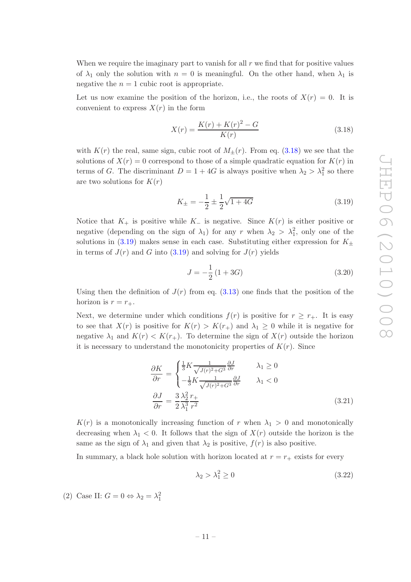When we require the imaginary part to vanish for all  $r$  we find that for positive values of  $\lambda_1$  only the solution with  $n = 0$  is meaningful. On the other hand, when  $\lambda_1$  is negative the  $n = 1$  cubic root is appropriate.

Let us now examine the position of the horizon, i.e., the roots of  $X(r) = 0$ . It is convenient to express  $X(r)$  in the form

<span id="page-12-0"></span>
$$
X(r) = \frac{K(r) + K(r)^2 - G}{K(r)}
$$
\n(3.18)

with  $K(r)$  the real, same sign, cubic root of  $M_{+}(r)$ . From eq. [\(3.18\)](#page-12-0) we see that the solutions of  $X(r) = 0$  correspond to those of a simple quadratic equation for  $K(r)$  in terms of G. The discriminant  $D = 1 + 4G$  is always positive when  $\lambda_2 > \lambda_1^2$  so there are two solutions for  $K(r)$ 

<span id="page-12-1"></span>
$$
K_{\pm} = -\frac{1}{2} \pm \frac{1}{2} \sqrt{1 + 4G} \tag{3.19}
$$

Notice that  $K_+$  is positive while  $K_-\$  is negative. Since  $K(r)$  is either positive or negative (depending on the sign of  $\lambda_1$ ) for any r when  $\lambda_2 > \lambda_1^2$ , only one of the solutions in [\(3.19\)](#page-12-1) makes sense in each case. Substituting either expression for  $K_{\pm}$ in terms of  $J(r)$  and G into [\(3.19\)](#page-12-1) and solving for  $J(r)$  yields

<span id="page-12-2"></span>
$$
J = -\frac{1}{2} (1 + 3G) \tag{3.20}
$$

Using then the definition of  $J(r)$  from eq. [\(3.13\)](#page-11-1) one finds that the position of the horizon is  $r = r_{+}$ .

Next, we determine under which conditions  $f(r)$  is positive for  $r \geq r_{+}$ . It is easy to see that  $X(r)$  is positive for  $K(r) > K(r_{+})$  and  $\lambda_1 \geq 0$  while it is negative for negative  $\lambda_1$  and  $K(r) < K(r_+)$ . To determine the sign of  $X(r)$  outside the horizon it is necessary to understand the monotonicity properties of  $K(r)$ . Since

$$
\frac{\partial K}{\partial r} = \begin{cases} \frac{1}{3} K \frac{1}{\sqrt{J(r)^2 + G^3}} \frac{\partial J}{\partial r} & \lambda_1 \ge 0\\ -\frac{1}{3} K \frac{1}{\sqrt{J(r)^2 + G^3}} \frac{\partial J}{\partial r} & \lambda_1 < 0 \end{cases}
$$
\n
$$
\frac{\partial J}{\partial r} = \frac{3}{2} \frac{\lambda_2^2}{\lambda_1^3} \frac{r_+}{r^2}
$$
\n(3.21)

 $K(r)$  is a monotonically increasing function of r when  $\lambda_1 > 0$  and monotonically decreasing when  $\lambda_1 < 0$ . It follows that the sign of  $X(r)$  outside the horizon is the same as the sign of  $\lambda_1$  and given that  $\lambda_2$  is positive,  $f(r)$  is also positive.

In summary, a black hole solution with horizon located at  $r = r_+$  exists for every

$$
\lambda_2 > \lambda_1^2 \ge 0 \tag{3.22}
$$

(2) Case II:  $G = 0 \Leftrightarrow \lambda_2 = \lambda_1^2$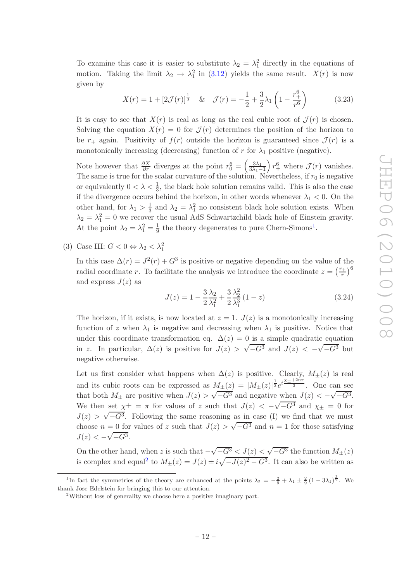To examine this case it is easier to substitute  $\lambda_2 = \lambda_1^2$  directly in the equations of motion. Taking the limit  $\lambda_2 \to \lambda_1^2$  in [\(3.12\)](#page-10-2) yields the same result.  $X(r)$  is now given by

$$
X(r) = 1 + [2\mathcal{J}(r)]^{\frac{1}{3}} \& \mathcal{J}(r) = -\frac{1}{2} + \frac{3}{2}\lambda_1 \left(1 - \frac{r_+^6}{r^6}\right) \tag{3.23}
$$

It is easy to see that  $X(r)$  is real as long as the real cubic root of  $\mathcal{J}(r)$  is chosen. Solving the equation  $X(r) = 0$  for  $\mathcal{J}(r)$  determines the position of the horizon to be  $r_{+}$  again. Positivity of  $f(r)$  outside the horizon is guaranteed since  $\mathcal{J}(r)$  is a monotonically increasing (decreasing) function of r for  $\lambda_1$  positive (negative).

Note however that  $\frac{\partial X}{\partial r}$  diverges at the point  $r_0^6 = \left(\frac{3\lambda_1}{3\lambda_1 - 1}\right)$  $3\lambda_1-1$  $\int r_+^6$  where  $\mathcal{J}(r)$  vanishes. The same is true for the scalar curvature of the solution. Nevertheless, if  $r_0$  is negative or equivalently  $0 < \lambda < \frac{1}{3}$ , the black hole solution remains valid. This is also the case if the divergence occurs behind the horizon, in other words whenever  $\lambda_1 < 0$ . On the other hand, for  $\lambda_1 > \frac{1}{3}$  $\frac{1}{3}$  and  $\lambda_2 = \lambda_1^2$  no consistent black hole solution exists. When  $\lambda_2 = \lambda_1^2 = 0$  we recover the usual AdS Schwartzchild black hole of Einstein gravity. At the point  $\lambda_2 = \lambda_1^2 = \frac{1}{9}$  $\frac{1}{9}$  $\frac{1}{9}$  $\frac{1}{9}$  the theory degenerates to pure Chern-Simons<sup>1</sup>.

(3) Case III:  $G < 0 \Leftrightarrow \lambda_2 < \lambda_1^2$ 

In this case  $\Delta(r) = J^2(r) + G^3$  is positive or negative depending on the value of the radial coordinate r. To facilitate the analysis we introduce the coordinate  $z = \left(\frac{r_+}{r}\right)^6$ and express  $J(z)$  as

$$
J(z) = 1 - \frac{3\lambda_2}{2\lambda_1^2} + \frac{3\lambda_2^2}{2\lambda_1^3} (1 - z)
$$
 (3.24)

The horizon, if it exists, is now located at  $z = 1$ .  $J(z)$  is a monotonically increasing function of z when  $\lambda_1$  is negative and decreasing when  $\lambda_1$  is positive. Notice that under this coordinate transformation eq.  $\Delta(z) = 0$  is a simple quadratic equation in z. In particular,  $\Delta(z)$  is positive for  $J(z) > \sqrt{-G^3}$  and  $J(z) < -\sqrt{-G^3}$  but negative otherwise.

Let us first consider what happens when  $\Delta(z)$  is positive. Clearly,  $M_{\pm}(z)$  is real and its cubic roots can be expressed as  $M_{\pm}(z) = |M_{\pm}(z)|^{\frac{1}{3}} e^{i \frac{\chi_{\pm} + 2n\pi}{3}}$ . One can see that both  $M_{\pm}$  are positive when  $J(z) > \sqrt{-G^3}$  and negative when  $J(z) < -\sqrt{-G^3}$ . We then set  $\chi^{\pm} = \pi$  for values of z such that  $J(z) < -\sqrt{-G^3}$  and  $\chi_{\pm} = 0$  for  $J(z) > \sqrt{-G^3}$ . Following the same reasoning as in case (I) we find that we must choose  $n = 0$  for values of z such that  $J(z) > \sqrt{-G^3}$  and  $n = 1$  for those satisfying  $J(z) < -\sqrt{-G^3}.$ 

On the other hand, when z is such that  $-\sqrt{-G^3} < J(z) < \sqrt{-G^3}$  the function  $M_{\pm}(z)$ is complex and equal<sup>[2](#page-13-1)</sup> to  $M_{\pm}(z) = J(z) \pm i \sqrt{-J(z)^2 - G^3}$ . It can also be written as

<sup>&</sup>lt;sup>1</sup>In fact the symmetries of the theory are enhanced at the points  $\lambda_2 = -\frac{2}{9} + \lambda_1 \pm \frac{2}{9}(1-3\lambda_1)^{\frac{3}{2}}$ . We thank Jose Edelstein for bringing this to our attention.

<span id="page-13-1"></span><span id="page-13-0"></span><sup>2</sup>Without loss of generality we choose here a positive imaginary part.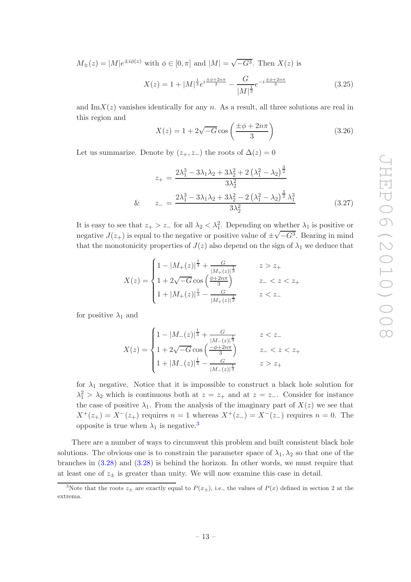$M_{\pm}(z) = |M|e^{\pm i\phi(z)}$  with  $\phi \in [0, \pi]$  and  $|M| = \sqrt{-G^3}$ . Then  $X(z)$  is

$$
X(z) = 1 + |M|^{\frac{1}{3}} e^{i \frac{\pm \phi + 2n\pi}{3}} - \frac{G}{|M|^{\frac{1}{3}}} e^{-i \frac{\pm \phi + 2n\pi}{3}}
$$
(3.25)

and  $\text{Im}X(z)$  vanishes identically for any n. As a result, all three solutions are real in this region and

$$
X(z) = 1 + 2\sqrt{-G}\cos\left(\frac{\pm\phi + 2n\pi}{3}\right) \tag{3.26}
$$

Let us summarize. Denote by  $(z_+, z_-)$  the roots of  $\Delta(z) = 0$ 

$$
z_{+} = \frac{2\lambda_1^3 - 3\lambda_1\lambda_2 + 3\lambda_2^2 + 2(\lambda_1^2 - \lambda_2)^{\frac{3}{2}}}{3\lambda_2^2}
$$
  
& 
$$
z_{-} = \frac{2\lambda_1^3 - 3\lambda_1\lambda_2 + 3\lambda_2^2 - 2(\lambda_1^2 - \lambda_2)^{\frac{3}{2}}\lambda_1^3}{3\lambda_2^2}
$$
(3.27)

It is easy to see that  $z_+ > z_-$  for all  $\lambda_2 < \lambda_1^2$ . Depending on whether  $\lambda_1$  is positive or negative  $J(z_+)$  is equal to the negative or positive value of  $\pm \sqrt{-G^3}$ . Bearing in mind that the monotonicity properties of  $J(z)$  also depend on the sign of  $\lambda_1$  we deduce that

$$
X(z) = \begin{cases} 1 - |M_{+}(z)|^{\frac{1}{3}} + \frac{G}{|M_{+}(z)|^{\frac{1}{3}}} & z > z_{+} \\ 1 + 2\sqrt{-G}\cos\left(\frac{\phi + 2n\pi}{3}\right) & z_{-} < z < z_{+} \\ 1 + |M_{+}(z)|^{\frac{1}{3}} - \frac{G}{|M_{+}(z)|^{\frac{1}{3}}} & z < z_{-} \end{cases}
$$

for positive  $\lambda_1$  and

$$
X(z) = \begin{cases} 1 - |M_{-}(z)|^{\frac{1}{3}} + \frac{G}{|M_{-}(z)|^{\frac{1}{3}}} & z < z_{-} \\ 1 + 2\sqrt{-G}\cos\left(\frac{-\phi + 2n\pi}{3}\right) & z_{-} < z < z_{+} \\ 1 + |M_{-}(z)|^{\frac{1}{3}} - \frac{G}{|M_{-}(z)|^{\frac{1}{3}}} & z > z_{+} \end{cases}
$$

for  $\lambda_1$  negative. Notice that it is impossible to construct a black hole solution for  $\lambda_1^2 > \lambda_2$  which is continuous both at  $z = z_+$  and at  $z = z_-$ . Consider for instance the case of positive  $\lambda_1$ . From the analysis of the imaginary part of  $X(z)$  we see that  $X^+(z_+) = X^-(z_+)$  requires  $n = 1$  whereas  $X^+(z_-) = X^-(z_-)$  requires  $n = 0$ . The opposite is true when  $\lambda_1$  is negative.<sup>[3](#page-14-0)</sup>

There are a number of ways to circumvent this problem and built consistent black hole solutions. The obvious one is to constrain the parameter space of  $\lambda_1, \lambda_2$  so that one of the branches in [\(3.28\)](#page-15-0) and [\(3.28\)](#page-15-0) is behind the horizon. In other words, we must require that at least one of  $z_{+}$  is greater than unity. We will now examine this case in detail.

<span id="page-14-0"></span><sup>&</sup>lt;sup>3</sup>Note that the roots  $z_{\pm}$  are exactly equal to  $P(x_{\pm})$ , i.e., the values of  $P(x)$  defined in section 2 at the extrema.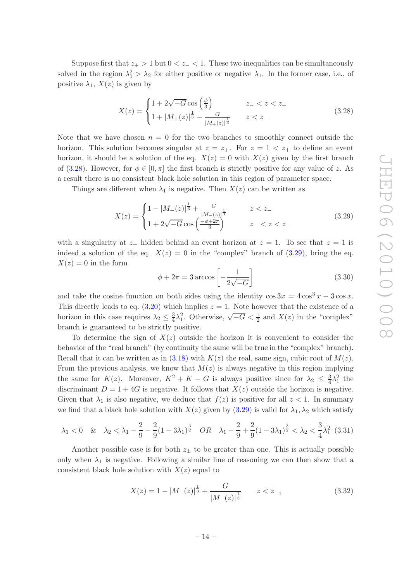Suppose first that  $z_{+} > 1$  but  $0 < z_{-} < 1$ . These two inequalities can be simultaneously solved in the region  $\lambda_1^2 > \lambda_2$  for either positive or negative  $\lambda_1$ . In the former case, i.e., of positive  $\lambda_1$ ,  $X(z)$  is given by

<span id="page-15-0"></span>
$$
X(z) = \begin{cases} 1 + 2\sqrt{-G}\cos\left(\frac{\phi}{3}\right) & z_- < z < z_+\\ 1 + |M_+(z)|^{\frac{1}{3}} - \frac{G}{|M_+(z)|^{\frac{1}{3}}} & z < z_- \end{cases}
$$
(3.28)

Note that we have chosen  $n = 0$  for the two branches to smoothly connect outside the horizon. This solution becomes singular at  $z = z_+$ . For  $z = 1 < z_+$  to define an event horizon, it should be a solution of the eq.  $X(z) = 0$  with  $X(z)$  given by the first branch of [\(3.28\)](#page-15-0). However, for  $\phi \in [0, \pi]$  the first branch is strictly positive for any value of z. As a result there is no consistent black hole solution in this region of parameter space.

Things are different when  $\lambda_1$  is negative. Then  $X(z)$  can be written as

<span id="page-15-1"></span>
$$
X(z) = \begin{cases} 1 - |M_{-}(z)|^{\frac{1}{3}} + \frac{G}{|M_{-}(z)|^{\frac{1}{3}}} & z < z_{-} \\ 1 + 2\sqrt{-G}\cos\left(\frac{-\phi + 2\pi}{3}\right) & z_{-} < z < z_{+} \end{cases} \tag{3.29}
$$

with a singularity at  $z_+$  hidden behind an event horizon at  $z = 1$ . To see that  $z = 1$  is indeed a solution of the eq.  $X(z) = 0$  in the "complex" branch of [\(3.29\)](#page-15-1), bring the eq.  $X(z) = 0$  in the form

$$
\phi + 2\pi = 3 \arccos\left[-\frac{1}{2\sqrt{-G}}\right] \tag{3.30}
$$

and take the cosine function on both sides using the identity  $\cos 3x = 4 \cos^3 x - 3 \cos x$ . This directly leads to eq.  $(3.20)$  which implies  $z = 1$ . Note however that the existence of a horizon in this case requires  $\lambda_2 \leq \frac{3}{4}$  $\frac{3}{4}\lambda_1^2$ . Otherwise,  $\sqrt{-G} < \frac{1}{2}$  and  $X(z)$  in the "complex" branch is guaranteed to be strictly positive.

To determine the sign of  $X(z)$  outside the horizon it is convenient to consider the behavior of the "real branch" (by continuity the same will be true in the "complex" branch). Recall that it can be written as in [\(3.18\)](#page-12-0) with  $K(z)$  the real, same sign, cubic root of  $M(z)$ . From the previous analysis, we know that  $M(z)$  is always negative in this region implying the same for  $K(z)$ . Moreover,  $K^2 + K - G$  is always positive since for  $\lambda_2 \leq \frac{3}{4}$  $\frac{3}{4}\lambda_1^2$  the discriminant  $D = 1 + 4G$  is negative. It follows that  $X(z)$  outside the horizon is negative. Given that  $\lambda_1$  is also negative, we deduce that  $f(z)$  is positive for all  $z < 1$ . In summary we find that a black hole solution with  $X(z)$  given by  $(3.29)$  is valid for  $\lambda_1, \lambda_2$  which satisfy

$$
\lambda_1 < 0
$$
 &  $\lambda_2 < \lambda_1 - \frac{2}{9} - \frac{2}{9}(1 - 3\lambda_1)^{\frac{3}{2}}$  OR  $\lambda_1 - \frac{2}{9} + \frac{2}{9}(1 - 3\lambda_1)^{\frac{3}{2}} < \lambda_2 < \frac{3}{4}\lambda_1^2$  (3.31)

Another possible case is for both  $z_{\pm}$  to be greater than one. This is actually possible only when  $\lambda_1$  is negative. Following a similar line of reasoning we can then show that a consistent black hole solution with  $X(z)$  equal to

$$
X(z) = 1 - |M_{-}(z)|^{\frac{1}{3}} + \frac{G}{|M_{-}(z)|^{\frac{1}{3}}} \qquad z < z_{-}, \tag{3.32}
$$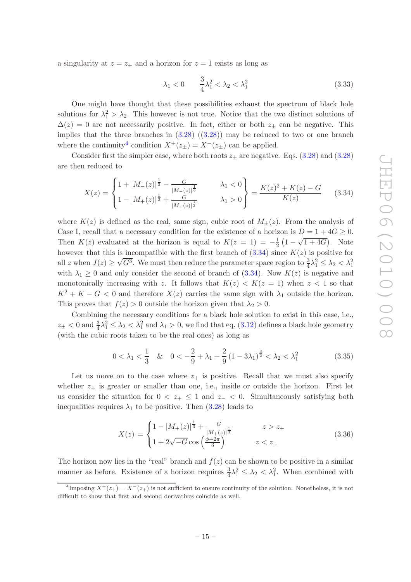a singularity at  $z = z_+$  and a horizon for  $z = 1$  exists as long as

$$
\lambda_1 < 0
$$
  $\frac{3}{4}\lambda_1^2 < \lambda_2 < \lambda_1^2$  (3.33)

One might have thought that these possibilities exhaust the spectrum of black hole solutions for  $\lambda_1^2 > \lambda_2$ . This however is not true. Notice that the two distinct solutions of  $\Delta(z) = 0$  are not necessarily positive. In fact, either or both  $z_{\pm}$  can be negative. This implies that the three branches in  $(3.28)$   $((3.28))$  may be reduced to two or one branch where the continuity<sup>[4](#page-16-0)</sup> condition  $X^+(z_\pm) = X^-(z_\pm)$  can be applied.

Consider first the simpler case, where both roots  $z_{\pm}$  are negative. Eqs. [\(3.28\)](#page-15-0) and (3.28) are then reduced to

<span id="page-16-1"></span>
$$
X(z) = \begin{cases} 1 + |M_{-}(z)|^{\frac{1}{3}} - \frac{G}{|M_{-}(z)|^{\frac{1}{3}}} & \lambda_1 < 0\\ 1 - |M_{+}(z)|^{\frac{1}{3}} + \frac{G}{|M_{+}(z)|^{\frac{1}{3}}} & \lambda_1 > 0 \end{cases} = \frac{K(z)^2 + K(z) - G}{K(z)}
$$
(3.34)

where  $K(z)$  is defined as the real, same sign, cubic root of  $M_{\pm}(z)$ . From the analysis of Case I, recall that a necessary condition for the existence of a horizon is  $D = 1 + 4G \ge 0$ . Then  $K(z)$  evaluated at the horizon is equal to  $K(z = 1) = -\frac{1}{2}(1 - \sqrt{1 + 4G})$ . Note however that this is incompatible with the first branch of  $(3.34)$  since  $K(z)$  is positive for all z when  $J(z) \geq \sqrt{G^3}$ . We must then reduce the parameter space region to  $\frac{3}{4}\lambda_1^2 \leq \lambda_2 < \lambda_1^2$ with  $\lambda_1 \geq 0$  and only consider the second of branch of [\(3.34\)](#page-16-1). Now  $K(z)$  is negative and monotonically increasing with z. It follows that  $K(z) < K(z = 1)$  when  $z < 1$  so that  $K^2 + K - G < 0$  and therefore  $X(z)$  carries the same sign with  $\lambda_1$  outside the horizon. This proves that  $f(z) > 0$  outside the horizon given that  $\lambda_2 > 0$ .

Combining the necessary conditions for a black hole solution to exist in this case, i.e.,  $z_{\pm}$  < 0 and  $\frac{3}{4}\lambda_1^2 \leq \lambda_2 < \lambda_1^2$  and  $\lambda_1 > 0$ , we find that eq. [\(3.12\)](#page-10-2) defines a black hole geometry (with the cubic roots taken to be the real ones) as long as

$$
0 < \lambda_1 < \frac{1}{3} \quad \& \quad 0 < -\frac{2}{9} + \lambda_1 + \frac{2}{9} \left( 1 - 3\lambda_1 \right)^{\frac{3}{2}} < \lambda_2 < \lambda_1^2 \tag{3.35}
$$

Let us move on to the case where  $z_+$  is positive. Recall that we must also specify whether  $z_+$  is greater or smaller than one, i.e., inside or outside the horizon. First let us consider the situation for  $0 < z_+ \leq 1$  and  $z_- < 0$ . Simultaneously satisfying both inequalities requires  $\lambda_1$  to be positive. Then [\(3.28\)](#page-15-0) leads to

<span id="page-16-2"></span>
$$
X(z) = \begin{cases} 1 - |M_{+}(z)|^{\frac{1}{3}} + \frac{G}{|M_{+}(z)|^{\frac{1}{3}}} & z > z_{+} \\ 1 + 2\sqrt{-G}\cos\left(\frac{\phi + 2\pi}{3}\right) & z < z_{+} \end{cases}
$$
(3.36)

The horizon now lies in the "real" branch and  $f(z)$  can be shown to be positive in a similar manner as before. Existence of a horizon requires  $\frac{3}{4}\lambda_1^2 \leq \lambda_2 < \lambda_1^2$ . When combined with

<span id="page-16-0"></span><sup>&</sup>lt;sup>4</sup>Imposing  $X^+(z_+) = X^-(z_+)$  is not sufficient to ensure continuity of the solution. Nonetheless, it is not difficult to show that first and second derivatives coincide as well.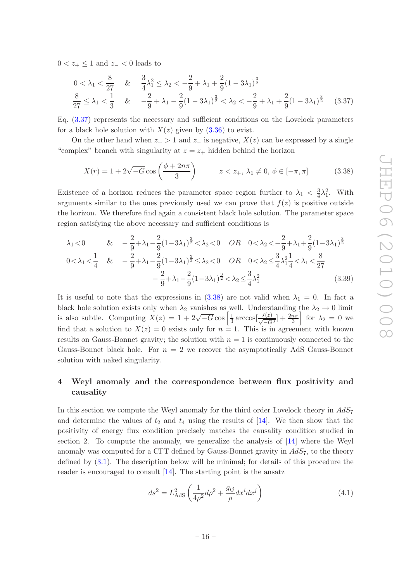$0 < z_+ \leq 1$  and  $z_- < 0$  leads to

<span id="page-17-1"></span>
$$
0 < \lambda_1 < \frac{8}{27} \quad \& \quad \frac{3}{4}\lambda_1^2 \le \lambda_2 < -\frac{2}{9} + \lambda_1 + \frac{2}{9}(1 - 3\lambda_1)^{\frac{3}{2}}
$$
  

$$
\frac{8}{27} \le \lambda_1 < \frac{1}{3} \quad \& \quad -\frac{2}{9} + \lambda_1 - \frac{2}{9}(1 - 3\lambda_1)^{\frac{3}{2}} < \lambda_2 < -\frac{2}{9} + \lambda_1 + \frac{2}{9}(1 - 3\lambda_1)^{\frac{3}{2}} \quad (3.37)
$$

Eq. [\(3.37\)](#page-17-1) represents the necessary and sufficient conditions on the Lovelock parameters for a black hole solution with  $X(z)$  given by  $(3.36)$  to exist.

On the other hand when  $z_+ > 1$  and  $z_-$  is negative,  $X(z)$  can be expressed by a single "complex" branch with singularity at  $z = z_+$  hidden behind the horizon

<span id="page-17-2"></span>
$$
X(r) = 1 + 2\sqrt{-G}\cos\left(\frac{\phi + 2n\pi}{3}\right) \qquad z < z_+, \lambda_1 \neq 0, \phi \in [-\pi, \pi] \tag{3.38}
$$

Existence of a horizon reduces the parameter space region further to  $\lambda_1 < \frac{3}{4}$  $\frac{3}{4}\lambda_1^2$ . With arguments similar to the ones previously used we can prove that  $f(z)$  is positive outside the horizon. We therefore find again a consistent black hole solution. The parameter space region satisfying the above necessary and sufficient conditions is

$$
\lambda_1 < 0 \qquad & \& -\frac{2}{9} + \lambda_1 - \frac{2}{9} (1 - 3\lambda_1)^{\frac{3}{2}} < \lambda_2 < 0 \qquad & OR \qquad 0 < \lambda_2 < -\frac{2}{9} + \lambda_1 + \frac{2}{9} (1 - 3\lambda_1)^{\frac{3}{2}} \\
0 < \lambda_1 < \frac{1}{4} \qquad & \& -\frac{2}{9} + \lambda_1 - \frac{2}{9} (1 - 3\lambda_1)^{\frac{3}{2}} \le \lambda_2 < 0 \qquad & OR \qquad 0 < \lambda_2 \le \frac{3}{4} \lambda_1^2 \frac{1}{4} < \lambda_1 < \frac{8}{27} \\
- \frac{2}{9} + \lambda_1 - \frac{2}{9} (1 - 3\lambda_1)^{\frac{3}{2}} < \lambda_2 \le \frac{3}{4} \lambda_1^2 \qquad (3.39)
$$

It is useful to note that the expressions in  $(3.38)$  are not valid when  $\lambda_1 = 0$ . In fact a black hole solution exists only when  $\lambda_2$  vanishes as well. Understanding the  $\lambda_2 \to 0$  limit is also subtle. Computing  $X(z) = 1 + 2\sqrt{-G}\cos\left[\frac{1}{3}\right]$  $rac{1}{3}\arccos\left[\frac{J(z)}{\sqrt{-G^3}}\right] + \frac{2n\pi}{3}$  $\int$  for  $\lambda_2 = 0$  we find that a solution to  $X(z) = 0$  exists only for  $n = 1$ . This is in agreement with known results on Gauss-Bonnet gravity; the solution with  $n = 1$  is continuously connected to the Gauss-Bonnet black hole. For  $n = 2$  we recover the asymptotically AdS Gauss-Bonnet solution with naked singularity.

### <span id="page-17-0"></span>4 Weyl anomaly and the correspondence between flux positivity and causality

In this section we compute the Weyl anomaly for the third order Lovelock theory in  $AdS_7$ and determine the values of  $t_2$  and  $t_4$  using the results of [\[14\]](#page-26-10). We then show that the positivity of energy flux condition precisely matches the causality condition studied in section 2. To compute the anomaly, we generalize the analysis of [\[14](#page-26-10)] where the Weyl anomaly was computed for a CFT defined by Gauss-Bonnet gravity in  $AdS_7$ , to the theory defined by [\(3.1\)](#page-8-2). The description below will be minimal; for details of this procedure the reader is encouraged to consult [\[14](#page-26-10)]. The starting point is the ansatz

<span id="page-17-3"></span>
$$
ds^2 = L_{\text{AdS}}^2 \left(\frac{1}{4\rho^2} d\rho^2 + \frac{g_{ij}}{\rho} dx^i dx^j\right) \tag{4.1}
$$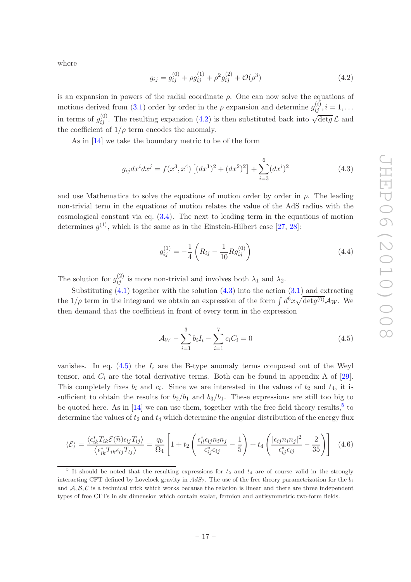where

<span id="page-18-0"></span>
$$
g_{ij} = g_{ij}^{(0)} + \rho g_{ij}^{(1)} + \rho^2 g_{ij}^{(2)} + \mathcal{O}(\rho^3)
$$
\n(4.2)

is an expansion in powers of the radial coordinate  $\rho$ . One can now solve the equations of motions derived from [\(3.1\)](#page-8-2) order by order in the  $\rho$  expansion and determine  $g_{ij}^{(i)}$ ,  $i = 1, \ldots$ in terms of  $g_{ij}^{(0)}$ . The resulting expansion [\(4.2\)](#page-18-0) is then substituted back into  $\sqrt{\det g} \mathcal{L}$  and the coefficient of  $1/\rho$  term encodes the anomaly.

As in [\[14](#page-26-10)] we take the boundary metric to be of the form

<span id="page-18-1"></span>
$$
g_{ij}dx^{i}dx^{j} = f(x^{3}, x^{4}) [(dx^{1})^{2} + (dx^{2})^{2}] + \sum_{i=3}^{6} (dx^{i})^{2}
$$
 (4.3)

and use Mathematica to solve the equations of motion order by order in  $\rho$ . The leading non-trivial term in the equations of motion relates the value of the AdS radius with the cosmological constant via eq.  $(3.4)$ . The next to leading term in the equations of motion determines  $g^{(1)}$ , which is the same as in the Einstein-Hilbert case [\[27,](#page-27-1) [28](#page-27-2)]:

$$
g_{ij}^{(1)} = -\frac{1}{4} \left( R_{ij} - \frac{1}{10} R g_{ij}^{(0)} \right) \tag{4.4}
$$

The solution for  $g_{ij}^{(2)}$  is more non-trivial and involves both  $\lambda_1$  and  $\lambda_2$ .

Substituting  $(4.1)$  together with the solution  $(4.3)$  into the action  $(3.1)$  and extracting the  $1/\rho$  term in the integrand we obtain an expression of the form  $\int d^6x \sqrt{\det g^{(0)}} A_W$ . We then demand that the coefficient in front of every term in the expression

<span id="page-18-2"></span>
$$
\mathcal{A}_W - \sum_{i=1}^3 b_i I_i - \sum_{i=1}^7 c_i C_i = 0 \tag{4.5}
$$

vanishes. In eq.  $(4.5)$  the  $I_i$  are the B-type anomaly terms composed out of the Weyl tensor, and  $C_i$  are the total derivative terms. Both can be found in appendix A of [\[29\]](#page-27-3). This completely fixes  $b_i$  and  $c_i$ . Since we are interested in the values of  $t_2$  and  $t_4$ , it is sufficient to obtain the results for  $b_2/b_1$  and  $b_3/b_1$ . These expressions are still too big to be quoted here. As in  $[14]$  we can use them, together with the free field theory results,<sup>[5](#page-18-3)</sup> to determine the values of  $t_2$  and  $t_4$  which determine the angular distribution of the energy flux

<span id="page-18-4"></span>
$$
\langle \mathcal{E} \rangle = \frac{\langle \epsilon_{ik}^* T_{ik} \mathcal{E}(\hat{n}) \epsilon_{lj} T_{lj} \rangle}{\langle \epsilon_{ik}^* T_{ik} \epsilon_{lj} T_{lj} \rangle} = \frac{q_0}{\Omega_4} \left[ 1 + t_2 \left( \frac{\epsilon_{il}^* \epsilon_{lj} n_i n_j}{\epsilon_{ij}^* \epsilon_{ij}} - \frac{1}{5} \right) + t_4 \left( \frac{|\epsilon_{ij} n_i n_j|^2}{\epsilon_{ij}^* \epsilon_{ij}} - \frac{2}{35} \right) \right]
$$
(4.6)

<span id="page-18-3"></span><sup>&</sup>lt;sup>5</sup> It should be noted that the resulting expressions for  $t_2$  and  $t_4$  are of course valid in the strongly interacting CFT defined by Lovelock gravity in  $AdS_7$ . The use of the free theory parametrization for the  $b_i$ and  $A, B, C$  is a technical trick which works because the relation is linear and there are three independent types of free CFTs in six dimension which contain scalar, fermion and antisymmetric two-form fields.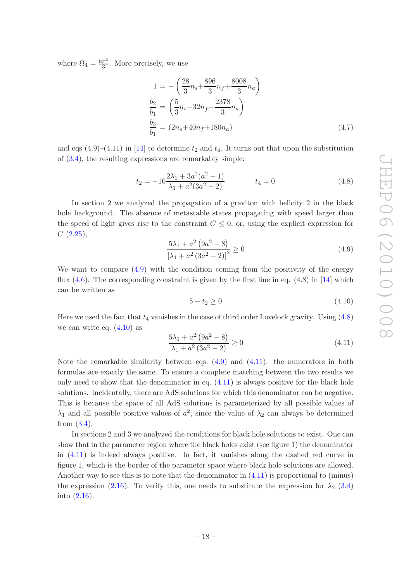where  $\Omega_4 = \frac{8\pi^2}{3}$  $\frac{\pi^2}{3}$ . More precisely, we use

$$
1 = -\left(\frac{28}{3}n_s + \frac{896}{3}n_f + \frac{8008}{3}n_a\right)
$$
  
\n
$$
\frac{b_2}{b_1} = \left(\frac{5}{3}n_s - 32n_f - \frac{2378}{3}n_a\right)
$$
  
\n
$$
\frac{b_3}{b_1} = (2n_s + 40n_f + 180n_a)
$$
\n(4.7)

and eqs  $(4.9)$ – $(4.11)$  in [\[14\]](#page-26-10) to determine  $t_2$  and  $t_4$ . It turns out that upon the substitution of [\(3.4\)](#page-9-1), the resulting expressions are remarkably simple:

<span id="page-19-1"></span>
$$
t_2 = -10\frac{2\lambda_1 + 3a^2(a^2 - 1)}{\lambda_1 + a^2(3a^2 - 2)} \qquad t_4 = 0 \tag{4.8}
$$

In section 2 we analyzed the propagation of a graviton with helicity 2 in the black hole background. The absence of metastable states propagating with speed larger than the speed of light gives rise to the constraint  $C \leq 0$ , or, using the explicit expression for  $C(2.25),$  $C(2.25),$  $C(2.25),$ 

<span id="page-19-0"></span>
$$
\frac{5\lambda_1 + a^2 (9a^2 - 8)}{[\lambda_1 + a^2 (3a^2 - 2)]^2} \ge 0
$$
\n(4.9)

We want to compare  $(4.9)$  with the condition coming from the positivity of the energy flux  $(4.6)$ . The corresponding constraint is given by the first line in eq.  $(4.8)$  in [\[14\]](#page-26-10) which can be written as

<span id="page-19-2"></span>
$$
5 - t_2 \ge 0 \tag{4.10}
$$

Here we used the fact that  $t_4$  vanishes in the case of third order Lovelock gravity. Using  $(4.8)$ we can write eq.  $(4.10)$  as

<span id="page-19-3"></span>
$$
\frac{5\lambda_1 + a^2 (9a^2 - 8)}{\lambda_1 + a^2 (3a^2 - 2)} \ge 0
$$
\n(4.11)

Note the remarkable similarity between eqs.  $(4.9)$  and  $(4.11)$ : the numerators in both formulas are exactly the same. To ensure a complete matching between the two results we only need to show that the denominator in eq.  $(4.11)$  is always positive for the black hole solutions. Incidentally, there are AdS solutions for which this denominator can be negative. This is because the space of all AdS solutions is parameterized by all possible values of  $\lambda_1$  and all possible positive values of  $a^2$ , since the value of  $\lambda_2$  can always be determined from [\(3.4\)](#page-9-1).

In sections 2 and 3 we analyzed the conditions for black hole solutions to exist. One can show that in the parameter region where the black holes exist (see figure 1) the denominator in [\(4.11\)](#page-19-3) is indeed always positive. In fact, it vanishes along the dashed red curve in figure 1, which is the border of the parameter space where black hole solutions are allowed. Another way to see this is to note that the denominator in  $(4.11)$  is proportional to (minus) the expression [\(2.16\)](#page-6-7). To verify this, one needs to substitute the expression for  $\lambda_2$  [\(3.4\)](#page-9-1) into [\(2.16\)](#page-6-7).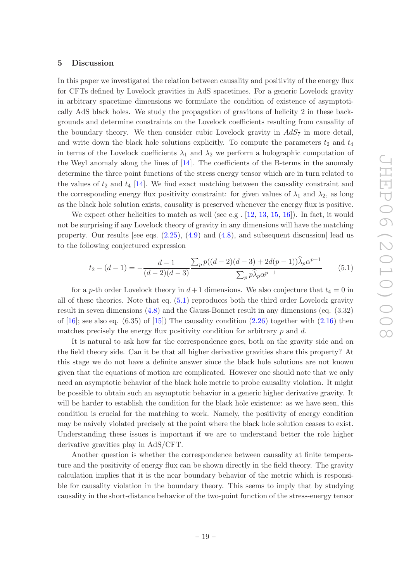#### <span id="page-20-0"></span>5 Discussion

In this paper we investigated the relation between causality and positivity of the energy flux for CFTs defined by Lovelock gravities in AdS spacetimes. For a generic Lovelock gravity in arbitrary spacetime dimensions we formulate the condition of existence of asymptotically AdS black holes. We study the propagation of gravitons of helicity 2 in these backgrounds and determine constraints on the Lovelock coefficients resulting from causality of the boundary theory. We then consider cubic Lovelock gravity in  $AdS_7$  in more detail, and write down the black hole solutions explicitly. To compute the parameters  $t_2$  and  $t_4$ in terms of the Lovelock coefficients  $\lambda_1$  and  $\lambda_2$  we perform a holographic computation of the Weyl anomaly along the lines of [\[14](#page-26-10)]. The coefficients of the B-terms in the anomaly determine the three point functions of the stress energy tensor which are in turn related to the values of  $t_2$  and  $t_4$  [\[14](#page-26-10)]. We find exact matching between the causality constraint and the corresponding energy flux positivity constraint: for given values of  $\lambda_1$  and  $\lambda_2$ , as long as the black hole solution exists, causality is preserved whenever the energy flux is positive.

We expect other helicities to match as well (see e.g.  $[12, 13, 15, 16]$  $[12, 13, 15, 16]$  $[12, 13, 15, 16]$  $[12, 13, 15, 16]$  $[12, 13, 15, 16]$  $[12, 13, 15, 16]$  $[12, 13, 15, 16]$ ). In fact, it would not be surprising if any Lovelock theory of gravity in any dimensions will have the matching property. Our results [see eqs.  $(2.25)$ ,  $(4.9)$  and  $(4.8)$ , and subsequent discussion] lead us to the following conjectured expression

<span id="page-20-1"></span>
$$
t_2 - (d-1) = -\frac{d-1}{(d-2)(d-3)} \frac{\sum_p p((d-2)(d-3) + 2d(p-1))\widehat{\lambda}_p \alpha^{p-1}}{\sum_p p \widehat{\lambda}_p \alpha^{p-1}} \tag{5.1}
$$

for a p-th order Lovelock theory in  $d+1$  dimensions. We also conjecture that  $t_4 = 0$  in all of these theories. Note that eq. [\(5.1\)](#page-20-1) reproduces both the third order Lovelock gravity result in seven dimensions [\(4.8\)](#page-19-1) and the Gauss-Bonnet result in any dimensions (eq. (3.32) of  $[16]$ ; see also eq.  $(6.35)$  of  $[15]$ ) The causality condition  $(2.26)$  together with  $(2.16)$  then matches precisely the energy flux positivity condition for arbitrary  $p$  and  $d$ .

It is natural to ask how far the correspondence goes, both on the gravity side and on the field theory side. Can it be that all higher derivative gravities share this property? At this stage we do not have a definite answer since the black hole solutions are not known given that the equations of motion are complicated. However one should note that we only need an asymptotic behavior of the black hole metric to probe causality violation. It might be possible to obtain such an asymptotic behavior in a generic higher derivative gravity. It will be harder to establish the condition for the black hole existence: as we have seen, this condition is crucial for the matching to work. Namely, the positivity of energy condition may be naively violated precisely at the point where the black hole solution ceases to exist. Understanding these issues is important if we are to understand better the role higher derivative gravities play in AdS/CFT.

Another question is whether the correspondence between causality at finite temperature and the positivity of energy flux can be shown directly in the field theory. The gravity calculation implies that it is the near boundary behavior of the metric which is responsible for causality violation in the boundary theory. This seems to imply that by studying causality in the short-distance behavior of the two-point function of the stress-energy tensor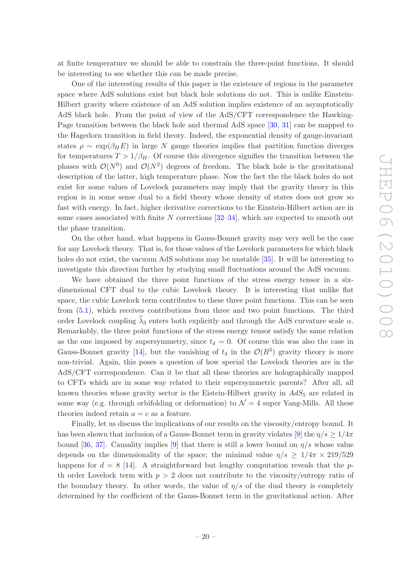at finite temperature we should be able to constrain the three-point functions. It should be interesting to see whether this can be made precise.

One of the interesting results of this paper is the existence of regions in the parameter space where AdS solutions exist but black hole solutions do not. This is unlike Einstein-Hilbert gravity where existence of an AdS solution implies existence of an asymptotically AdS black hole. From the point of view of the AdS/CFT correspondence the Hawking-Page transition between the black hole and thermal AdS space [\[30](#page-27-4), [31](#page-27-5)] can be mapped to the Hagedorn transition in field theory. Indeed, the exponential density of gauge-invariant states  $\rho \sim \exp(\beta_H E)$  in large N gauge theories implies that partition function diverges for temperatures  $T > 1/\beta_H$ . Of course this divergence signifies the transition between the phases with  $\mathcal{O}(N^0)$  and  $\mathcal{O}(N^2)$  degrees of freedom. The black hole is the gravitational description of the latter, high temperature phase. Now the fact the the black holes do not exist for some values of Lovelock parameters may imply that the gravity theory in this region is in some sense dual to a field theory whose density of states does not grow so fast with energy. In fact, higher derivative corrections to the Einstein-Hilbert action are in some cases associated with finite N corrections  $[32-34]$ , which are expected to smooth out the phase transition.

On the other hand, what happens in Gauss-Bonnet gravity may very well be the case for any Lovelock theory. That is, for those values of the Lovelock parameters for which black holes do not exist, the vacuum AdS solutions may be unstable [\[35\]](#page-27-8). It will be interesting to investigate this direction further by studying small fluctuations around the AdS vacuum.

We have obtained the three point functions of the stress energy tensor in a sixdimensional CFT dual to the cubic Lovelock theory. It is interesting that unlike flat space, the cubic Lovelock term contributes to these three point functions. This can be seen from [\(5.1\)](#page-20-1), which receives contributions from three and two point functions. The third order Lovelock coupling  $\lambda_3$  enters both explicitly and through the AdS curvature scale  $\alpha$ . Remarkably, the three point functions of the stress energy tensor satisfy the same relation as the one imposed by supersymmetry, since  $t_4 = 0$ . Of course this was also the case in Gauss-Bonnet gravity [\[14\]](#page-26-10), but the vanishing of  $t_4$  in the  $\mathcal{O}(R^3)$  gravity theory is more non-trivial. Again, this poses a question of how special the Lovelock theories are in the AdS/CFT correspondence. Can it be that all these theories are holographically mapped to CFTs which are in some way related to their supersymmetric parents? After all, all known theories whose gravity sector is the Eistein-Hilbert gravity in  $AdS_5$  are related in some way (e.g. through orbifolding or deformation) to  $\mathcal{N}=4$  super Yang-Mills. All these theories indeed retain  $a = c$  as a feature.

Finally, let us discuss the implications of our results on the viscosity/entropy bound. It has been shown that inclusion of a Gauss-Bonnet term in gravity violates [\[9\]](#page-26-7) the  $\eta/s \geq 1/4\pi$ bound [\[36](#page-27-9), [37](#page-27-10)]. Causality implies [\[9](#page-26-7)] that there is still a lower bound on  $\eta/s$  whose value depends on the dimensionality of the space; the minimal value  $\eta/s \geq 1/4\pi \times 219/529$ happens for  $d = 8$  [\[14](#page-26-10)]. A straightforward but lengthy computation reveals that the pth order Lovelock term with  $p > 2$  does not contribute to the viscosity/entropy ratio of the boundary theory. In other words, the value of  $\eta/s$  of the dual theory is completely determined by the coefficient of the Gauss-Bonnet term in the gravitational action. After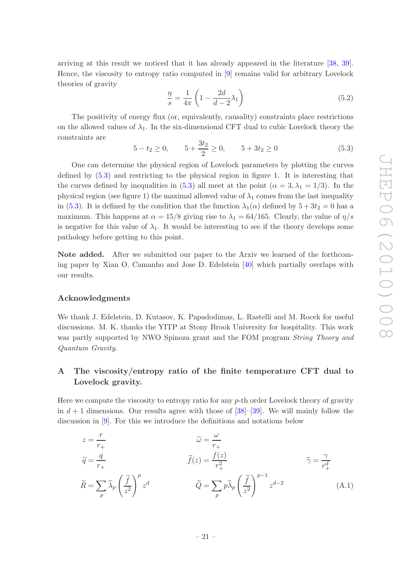arriving at this result we noticed that it has already appeared in the literature [\[38](#page-27-11), [39\]](#page-27-12). Hence, the viscosity to entropy ratio computed in [\[9](#page-26-7)] remains valid for arbitrary Lovelock theories of gravity

$$
\frac{\eta}{s} = \frac{1}{4\pi} \left( 1 - \frac{2d}{d - 2} \lambda_1 \right) \tag{5.2}
$$

The positivity of energy flux (or, equivalently, causality) constraints place restrictions on the allowed values of  $\lambda_1$ . In the six-dimensional CFT dual to cubic Lovelock theory the constraints are

<span id="page-22-1"></span>
$$
5 - t_2 \ge 0
$$
,  $5 + \frac{3t_2}{2} \ge 0$ ,  $5 + 3t_2 \ge 0$  (5.3)

One can determine the physical region of Lovelock parameters by plotting the curves defined by [\(5.3\)](#page-22-1) and restricting to the physical region in figure 1. It is interesting that the curves defined by inequalities in [\(5.3\)](#page-22-1) all meet at the point ( $\alpha = 3, \lambda_1 = 1/3$ ). In the physical region (see figure 1) the maximal allowed value of  $\lambda_1$  comes from the last inequality in [\(5.3\)](#page-22-1). It is defined by the condition that the function  $\lambda_1(\alpha)$  defined by  $5+3t_2=0$  has a maximum. This happens at  $\alpha = 15/8$  giving rise to  $\lambda_1 = 64/165$ . Clearly, the value of  $\eta/s$ is negative for this value of  $\lambda_1$ . It would be interesting to see if the theory develops some pathology before getting to this point.

Note added. After we submitted our paper to the Arxiv we learned of the forthcoming paper by Xian O. Camanho and Jose D. Edelstein [\[40](#page-27-13)] which partially overlaps with our results.

#### Acknowledgments

We thank J. Edelstein, D. Kutasov, K. Papadodimas, L. Rastelli and M. Rocek for useful discussions. M. K. thanks the YITP at Stony Brook University for hospitality. This work was partly supported by NWO Spinoza grant and the FOM program *String Theory and Quantum Gravity*.

## <span id="page-22-0"></span>A The viscosity/entropy ratio of the finite temperature CFT dual to Lovelock gravity.

Here we compute the viscosity to entropy ratio for any  $p$ -th order Lovelock theory of gravity in  $d+1$  dimensions. Our results agree with those of [\[38](#page-27-11)]–[\[39](#page-27-12)]. We will mainly follow the discussion in [\[9\]](#page-26-7). For this we introduce the definitions and notations below

$$
z = \frac{r}{r_+}
$$
  
\n
$$
\tilde{q} = \frac{q}{r_+}
$$
  
\n
$$
\tilde{R} = \sum_p \hat{\lambda}_p \left(\frac{\tilde{f}}{z^2}\right)^p z^d
$$
  
\n
$$
\tilde{Q} = \sum_p p \hat{\lambda}_p \left(\frac{\tilde{f}}{z^2}\right)^{p-1} z^{d-2}
$$
  
\n
$$
\tilde{Q} = \sum_p p \hat{\lambda}_p \left(\frac{\tilde{f}}{z^2}\right)^{p-1} z^{d-2}
$$
  
\n(A.1)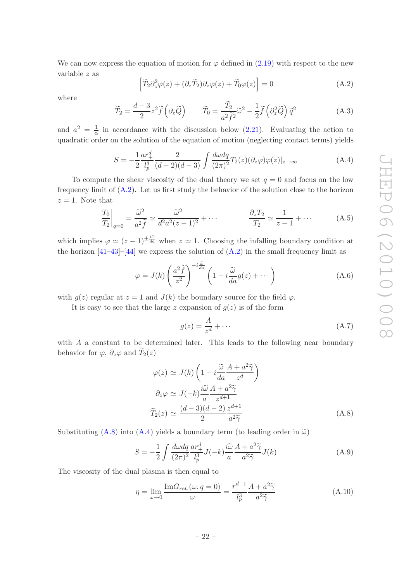We can now express the equation of motion for  $\varphi$  defined in [\(2.19\)](#page-7-4) with respect to the new variable z as

<span id="page-23-0"></span>
$$
\left[\widetilde{T}_2 \partial_z^2 \varphi(z) + (\partial_z \widetilde{T}_2) \partial_z \varphi(z) + \widetilde{T}_0 \varphi(z)\right] = 0 \tag{A.2}
$$

where

$$
\widetilde{T}_2 = \frac{d-3}{2} z^2 \widetilde{f}\left(\partial_z \widetilde{Q}\right) \qquad \widetilde{T}_0 = \frac{\widetilde{T}_2}{a^2 \widetilde{f}^2} \widetilde{\omega}^2 - \frac{1}{2} \widetilde{f}\left(\partial_z^2 \widetilde{Q}\right) \widetilde{q}^2 \tag{A.3}
$$

and  $a^2 = \frac{1}{\alpha}$  $\frac{1}{\alpha}$  in accordance with the discussion below [\(2.21\)](#page-7-5). Evaluating the action to quadratic order on the solution of the equation of motion (neglecting contact terms) yields

<span id="page-23-2"></span>
$$
S = -\frac{1}{2} \frac{ar_+^d}{l_p^3} \frac{2}{(d-2)(d-3)} \int \frac{d\omega dq}{(2\pi)^2} T_2(z) (\partial_z \varphi) \varphi(z)|_{z \to \infty}
$$
 (A.4)

To compute the shear viscosity of the dual theory we set  $q = 0$  and focus on the low frequency limit of  $(A.2)$ . Let us first study the behavior of the solution close to the horizon  $z = 1$ . Note that

$$
\left. \frac{T_0}{T_2} \right|_{q=0} = \frac{\widetilde{\omega}^2}{a^2 \widetilde{f}} \simeq \frac{\widetilde{\omega}^2}{d^2 a^2 (z-1)^2} + \cdots \qquad \qquad \frac{\partial_z T_2}{T_2} \simeq \frac{1}{z-1} + \cdots \qquad (A.5)
$$

which implies  $\varphi \simeq (z-1)^{\pm \frac{i\tilde{\omega}}{da}}$  when  $z \simeq 1$ . Choosing the infalling boundary condition at the horizon  $[41-43]$ – $[44]$  $[44]$  we express the solution of  $(A.2)$  in the small frequency limit as

$$
\varphi = J(k) \left( \frac{a^2 \tilde{f}}{z^2} \right)^{-i \frac{\tilde{\omega}}{da}} \left( 1 - i \frac{\tilde{\omega}}{da} g(z) + \cdots \right)
$$
 (A.6)

with  $g(z)$  regular at  $z = 1$  and  $J(k)$  the boundary source for the field  $\varphi$ .

It is easy to see that the large z expansion of  $q(z)$  is of the form

$$
g(z) = \frac{A}{z^d} + \dots \tag{A.7}
$$

with A a constant to be determined later. This leads to the following near boundary behavior for  $\varphi$ ,  $\partial_z\varphi$  and  $\widetilde{T}_2(z)$ 

<span id="page-23-1"></span>
$$
\varphi(z) \simeq J(k) \left( 1 - i \frac{\tilde{\omega}}{da} \frac{A + a^2 \tilde{\gamma}}{z^d} \right)
$$
  
\n
$$
\partial_z \varphi \simeq J(-k) \frac{i \tilde{\omega}}{a} \frac{A + a^2 \tilde{\gamma}}{z^{d+1}}
$$
  
\n
$$
\widetilde{T}_2(z) \simeq \frac{(d-3)(d-2)}{2} \frac{z^{d+1}}{a^2 \tilde{\gamma}}
$$
\n(A.8)

Substituting [\(A.8\)](#page-23-1) into [\(A.4\)](#page-23-2) yields a boundary term (to leading order in  $\tilde{\omega}$ )

$$
S = -\frac{1}{2} \int \frac{d\omega dq}{(2\pi)^2} \frac{ar_+^d}{l_p^3} J(-k) \frac{i\widetilde{\omega}}{a} \frac{A + a^2 \widetilde{\gamma}}{a^2 \widetilde{\gamma}} J(k)
$$
(A.9)

The viscosity of the dual plasma is then equal to

<span id="page-23-3"></span>
$$
\eta = \lim_{\omega \to 0} \frac{\text{Im} G_{ret.}(\omega, q = 0)}{\omega} = \frac{r_+^{d-1}}{l_p^3} \frac{A + a^2 \tilde{\gamma}}{a^2 \tilde{\gamma}}
$$
(A.10)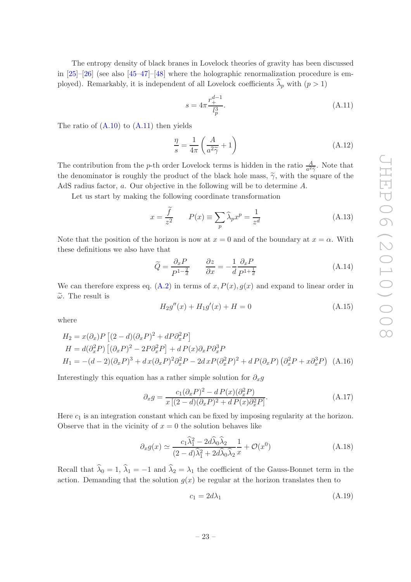The entropy density of black branes in Lovelock theories of gravity has been discussed in [\[25](#page-27-15)]–[\[26](#page-27-0)] (see also [\[45](#page-28-2)[–47](#page-28-3)]–[\[48\]](#page-28-4) where the holographic renormalization procedure is employed). Remarkably, it is independent of all Lovelock coefficients  $\lambda_p$  with  $(p > 1)$ 

<span id="page-24-0"></span>
$$
s = 4\pi \frac{r_+^{d-1}}{l_p^3}.\tag{A.11}
$$

The ratio of  $(A.10)$  to  $(A.11)$  then yields

<span id="page-24-1"></span>
$$
\frac{\eta}{s} = \frac{1}{4\pi} \left( \frac{A}{a^2 \tilde{\gamma}} + 1 \right) \tag{A.12}
$$

The contribution from the *p*-th order Lovelock terms is hidden in the ratio  $\frac{A}{a^2\overline{\gamma}}$ . Note that the denominator is roughly the product of the black hole mass,  $\tilde{\gamma}$ , with the square of the AdS radius factor, a. Our objective in the following will be to determine A.

Let us start by making the following coordinate transformation

$$
x = \frac{f}{z^2} \qquad P(x) \equiv \sum_{p} \widehat{\lambda}_p x^p = \frac{1}{z^d} \tag{A.13}
$$

Note that the position of the horizon is now at  $x = 0$  and of the boundary at  $x = \alpha$ . With these definitions we also have that

$$
\widetilde{Q} = \frac{\partial_x P}{P^{1 - \frac{2}{d}}} \qquad \frac{\partial z}{\partial x} = -\frac{1}{d} \frac{\partial_x P}{P^{1 + \frac{1}{d}}} \tag{A.14}
$$

We can therefore express eq.  $(A.2)$  in terms of x,  $P(x)$ ,  $q(x)$  and expand to linear order in  $\tilde{\omega}$ . The result is

$$
H_2g''(x) + H_1g'(x) + H = 0
$$
\n(A.15)

where

$$
H_2 = x(\partial_x)P [(2-d)(\partial_x P)^2 + dP \partial_x^2 P]
$$
  
\n
$$
H = d(\partial_x^2 P) [(\partial_x P)^2 - 2P \partial_x^2 P] + dP(x)\partial_x P \partial_x^3 P
$$
  
\n
$$
H_1 = -(d-2)(\partial_x P)^3 + d x(\partial_x P)^2 \partial_x^2 P - 2d x P(\partial_x^2 P)^2 + dP(\partial_x P) (\partial_x^2 P + x \partial_x^3 P)
$$
 (A.16)

Interestingly this equation has a rather simple solution for  $\partial_x g$ 

<span id="page-24-2"></span>
$$
\partial_x g = \frac{c_1(\partial_x P)^2 - dP(x)(\partial_x^2 P)}{x\left[ (2-d)(\partial_x P)^2 + dP(x)\partial_x^2 P \right]}.
$$
\n(A.17)

Here  $c_1$  is an integration constant which can be fixed by imposing regularity at the horizon. Observe that in the vicinity of  $x = 0$  the solution behaves like

$$
\partial_x g(x) \simeq \frac{c_1 \widehat{\lambda}_1^2 - 2d \widehat{\lambda}_0 \widehat{\lambda}_2}{(2-d)\widehat{\lambda}_1^2 + 2d \widehat{\lambda}_0 \widehat{\lambda}_2} \frac{1}{x} + \mathcal{O}(x^0)
$$
\n(A.18)

Recall that  $\lambda_0 = 1$ ,  $\lambda_1 = -1$  and  $\lambda_2 = \lambda_1$  the coefficient of the Gauss-Bonnet term in the action. Demanding that the solution  $g(x)$  be regular at the horizon translates then to

<span id="page-24-3"></span>
$$
c_1 = 2d\lambda_1 \tag{A.19}
$$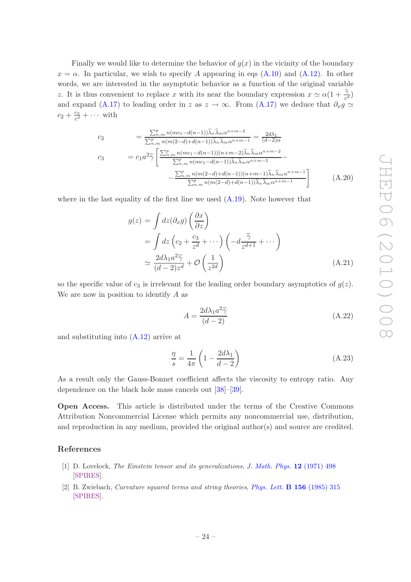JHEP06(2010)008 JHEP06(2010)008

Finally we would like to determine the behavior of  $g(x)$  in the vicinity of the boundary  $x = \alpha$ . In particular, we wish to specify A appearing in eqs [\(A.10\)](#page-23-3) and [\(A.12\)](#page-24-1). In other words, we are interested in the asymptotic behavior as a function of the original variable z. It is thus convenient to replace x with its near the boundary expression  $x \simeq \alpha(1 + \frac{\tilde{\gamma}}{z^d})$ and expand [\(A.17\)](#page-24-2) to leading order in z as  $z \to \infty$ . From [\(A.17\)](#page-24-2) we deduce that  $\partial_x g \simeq$  $c_2 + \frac{c_3}{z^d}$  $\frac{c_3}{z^d} + \cdots$  with

$$
c_2 = \frac{\sum_{n,m}^{p} n(mc_1 - d(n-1))\widehat{\lambda}_n \widehat{\lambda}_m \alpha^{n+m-2}}{\sum_{n,m}^{p} n(m(2-d) + d(n-1))\widehat{\lambda}_n \widehat{\lambda}_m \alpha^{n+m-1}} = \frac{2d\lambda_1}{(d-2)\alpha}
$$
  
\n
$$
c_3 = c_1 a^2 \widetilde{\gamma} \left[ \frac{\sum_{n,m}^{p} n(mc_1 - d(n-1))(n+m-2)\widehat{\lambda}_n \widehat{\lambda}_m \alpha^{n+m-2}}{\sum_{n,m}^{p} n(mc_1 - d(n-1))\widehat{\lambda}_n \widehat{\lambda}_m \alpha^{n+m-2}} - \frac{\sum_{n,m}^{p} n(m(2-d) + d(n-1))(n+m-1)\widehat{\lambda}_n \widehat{\lambda}_m \alpha^{n+m-1}}{\sum_{n,m}^{p} n(m(2-d) + d(n-1))\widehat{\lambda}_n \widehat{\lambda}_m \alpha^{n+m-1}} \right]
$$
(A.20)

where in the last equality of the first line we used  $(A.19)$ . Note however that

$$
g(z) = \int dz (\partial_x g) \left(\frac{\partial x}{\partial z}\right)
$$
  
= 
$$
\int dz \left(c_2 + \frac{c_3}{z^d} + \cdots\right) \left(-d \frac{\tilde{\gamma}}{z^{d+1}} + \cdots\right)
$$
  

$$
\simeq \frac{2d\lambda_1 a^2 \tilde{\gamma}}{(d-2)z^d} + \mathcal{O}\left(\frac{1}{z^{2d}}\right)
$$
 (A.21)

so the specific value of  $c_3$  is irrelevant for the leading order boundary asymptotics of  $g(z)$ . We are now in position to identify A as

$$
A = \frac{2d\lambda_1 a^2 \tilde{\gamma}}{(d-2)}
$$
 (A.22)

and substituting into [\(A.12\)](#page-24-1) arrive at

$$
\frac{\eta}{s} = \frac{1}{4\pi} \left( 1 - \frac{2d\lambda_1}{d - 2} \right) \tag{A.23}
$$

As a result only the Gauss-Bonnet coefficient affects the viscosity to entropy ratio. Any dependence on the black hole mass cancels out [\[38](#page-27-11)]–[\[39\]](#page-27-12).

Open Access. This article is distributed under the terms of the Creative Commons Attribution Noncommercial License which permits any noncommercial use, distribution, and reproduction in any medium, provided the original author(s) and source are credited.

#### References

- <span id="page-25-0"></span>[1] D. Lovelock, *The Einstein tensor and its generalizations*, *[J. Math. Phys.](http://dx.doi.org/10.1063/1.1665613)* 12 (1971) 498 [\[SPIRES\]](http://www-spires.slac.stanford.edu/spires/find/hep/www?j=JMAPA,12,498).
- <span id="page-25-1"></span>[2] B. Zwiebach, *Curvature squared terms and string theories*, *[Phys. Lett.](http://dx.doi.org/10.1016/0370-2693(85)91616-8)* B 156 (1985) 315 [\[SPIRES\]](http://www-spires.slac.stanford.edu/spires/find/hep/www?j=PHLTA,B156,315).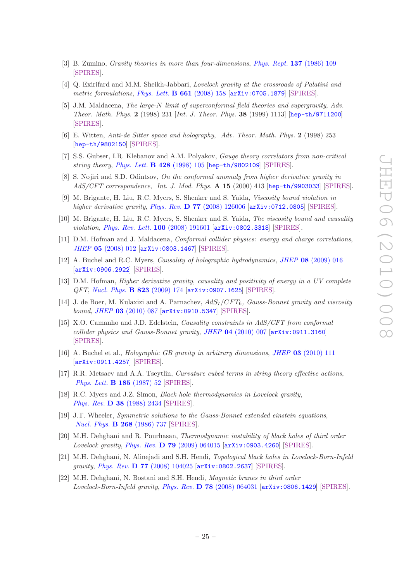- <span id="page-26-0"></span>[3] B. Zumino, *Gravity theories in more than four-dimensions*, *[Phys. Rept.](http://dx.doi.org/10.1016/0370-1573(86)90076-1)* 137 (1986) 109 [\[SPIRES\]](http://www-spires.slac.stanford.edu/spires/find/hep/www?j=PRPLC,137,109).
- <span id="page-26-1"></span>[4] Q. Exirifard and M.M. Sheikh-Jabbari, *Lovelock gravity at the crossroads of Palatini and metric formulations*, *[Phys. Lett.](http://dx.doi.org/10.1016/j.physletb.2008.02.012)* B 661 (2008) 158 [[arXiv:0705.1879](http://arxiv.org/abs/0705.1879)] [\[SPIRES\]](http://www-spires.slac.stanford.edu/spires/find/hep/www?eprint=0705.1879).
- <span id="page-26-2"></span>[5] J.M. Maldacena, *The large-*N *limit of superconformal field theories and supergravity*, *Adv. Theor. Math. Phys.* 2 (1998) 231 [*Int. J. Theor. Phys.* 38 (1999) 1113] [[hep-th/9711200](http://arxiv.org/abs/hep-th/9711200)] [\[SPIRES\]](http://www-spires.slac.stanford.edu/spires/find/hep/www?eprint=HEP-TH/9711200).
- [6] E. Witten, *Anti-de Sitter space and holography*, *Adv. Theor. Math. Phys.* 2 (1998) 253 [[hep-th/9802150](http://arxiv.org/abs/hep-th/9802150)] [\[SPIRES\]](http://www-spires.slac.stanford.edu/spires/find/hep/www?eprint=HEP-TH/9802150).
- <span id="page-26-3"></span>[7] S.S. Gubser, I.R. Klebanov and A.M. Polyakov, *Gauge theory correlators from non-critical string theory*, *[Phys. Lett.](http://dx.doi.org/10.1016/S0370-2693(98)00377-3)* B 428 (1998) 105 [[hep-th/9802109](http://arxiv.org/abs/hep-th/9802109)] [\[SPIRES\]](http://www-spires.slac.stanford.edu/spires/find/hep/www?eprint=HEP-TH/9802109).
- <span id="page-26-4"></span>[8] S. Nojiri and S.D. Odintsov, *On the conformal anomaly from higher derivative gravity in AdS/CFT correspondence*, *Int. J. Mod. Phys.* A 15 (2000) 413 [[hep-th/9903033](http://arxiv.org/abs/hep-th/9903033)] [\[SPIRES\]](http://www-spires.slac.stanford.edu/spires/find/hep/www?eprint=HEP-TH/9903033).
- <span id="page-26-7"></span>[9] M. Brigante, H. Liu, R.C. Myers, S. Shenker and S. Yaida, *Viscosity bound violation in higher derivative gravity*, *Phys. Rev.* D 77 [\(2008\) 126006](http://dx.doi.org/10.1103/PhysRevD.77.126006) [[arXiv:0712.0805](http://arxiv.org/abs/0712.0805)] [\[SPIRES\]](http://www-spires.slac.stanford.edu/spires/find/hep/www?eprint=0712.0805).
- <span id="page-26-5"></span>[10] M. Brigante, H. Liu, R.C. Myers, S. Shenker and S. Yaida, *The viscosity bound and causality violation*, *[Phys. Rev. Lett.](http://dx.doi.org/10.1103/PhysRevLett.100.191601)* 100 (2008) 191601 [[arXiv:0802.3318](http://arxiv.org/abs/0802.3318)] [\[SPIRES\]](http://www-spires.slac.stanford.edu/spires/find/hep/www?eprint=0802.3318).
- <span id="page-26-6"></span>[11] D.M. Hofman and J. Maldacena, *Conformal collider physics: energy and charge correlations*, *JHEP* 05 [\(2008\) 012](http://dx.doi.org/10.1088/1126-6708/2008/05/012) [[arXiv:0803.1467](http://arxiv.org/abs/0803.1467)] [\[SPIRES\]](http://www-spires.slac.stanford.edu/spires/find/hep/www?eprint=0803.1467).
- <span id="page-26-8"></span>[12] A. Buchel and R.C. Myers, *Causality of holographic hydrodynamics*, *JHEP* 08 [\(2009\) 016](http://dx.doi.org/10.1088/1126-6708/2009/08/016) [[arXiv:0906.2922](http://arxiv.org/abs/0906.2922)] [\[SPIRES\]](http://www-spires.slac.stanford.edu/spires/find/hep/www?eprint=0906.2922).
- <span id="page-26-9"></span>[13] D.M. Hofman, *Higher derivative gravity, causality and positivity of energy in a UV complete QFT*, *[Nucl. Phys.](http://dx.doi.org/10.1016/j.nuclphysb.2009.08.001)* B 823 (2009) 174 [[arXiv:0907.1625](http://arxiv.org/abs/0907.1625)] [\[SPIRES\]](http://www-spires.slac.stanford.edu/spires/find/hep/www?eprint=0907.1625).
- <span id="page-26-10"></span>[14] J. de Boer, M. Kulaxizi and A. Parnachev, AdS7/CF T6*, Gauss-Bonnet gravity and viscosity bound*, *JHEP* 03 [\(2010\) 087](http://dx.doi.org/10.1007/JHEP03(2010)087) [[arXiv:0910.5347](http://arxiv.org/abs/0910.5347)] [\[SPIRES\]](http://www-spires.slac.stanford.edu/spires/find/hep/www?eprint=0910.5347).
- <span id="page-26-11"></span>[15] X.O. Camanho and J.D. Edelstein, *Causality constraints in AdS/CFT from conformal collider physics and Gauss-Bonnet gravity*, *JHEP* 04 [\(2010\) 007](http://dx.doi.org/10.1007/JHEP04(2010)007) [[arXiv:0911.3160](http://arxiv.org/abs/0911.3160)] [\[SPIRES\]](http://www-spires.slac.stanford.edu/spires/find/hep/www?eprint=0911.3160).
- <span id="page-26-12"></span>[16] A. Buchel et al., *Holographic GB gravity in arbitrary dimensions*, *JHEP* 03 [\(2010\) 111](http://dx.doi.org/10.1007/JHEP03(2010)111) [[arXiv:0911.4257](http://arxiv.org/abs/0911.4257)] [\[SPIRES\]](http://www-spires.slac.stanford.edu/spires/find/hep/www?eprint=0911.4257).
- <span id="page-26-13"></span>[17] R.R. Metsaev and A.A. Tseytlin, *Curvature cubed terms in string theory effective actions*, *[Phys. Lett.](http://dx.doi.org/10.1016/0370-2693(87)91527-9)* B 185 (1987) 52 [\[SPIRES\]](http://www-spires.slac.stanford.edu/spires/find/hep/www?j=PHLTA,B185,52).
- <span id="page-26-14"></span>[18] R.C. Myers and J.Z. Simon, *Black hole thermodynamics in Lovelock gravity*, *Phys. Rev.* D 38 [\(1988\) 2434](http://dx.doi.org/10.1103/PhysRevD.38.2434) [\[SPIRES\]](http://www-spires.slac.stanford.edu/spires/find/hep/www?j=PHRVA,D38,2434).
- [19] J.T. Wheeler, *Symmetric solutions to the Gauss-Bonnet extended einstein equations*, *[Nucl. Phys.](http://dx.doi.org/10.1016/0550-3213(86)90268-3)* B 268 (1986) 737 [\[SPIRES\]](http://www-spires.slac.stanford.edu/spires/find/hep/www?j=NUPHA,B268,737).
- [20] M.H. Dehghani and R. Pourhasan, *Thermodynamic instability of black holes of third order Lovelock gravity*, *Phys. Rev.* D 79 [\(2009\) 064015](http://dx.doi.org/10.1103/PhysRevD.79.064015) [[arXiv:0903.4260](http://arxiv.org/abs/0903.4260)] [\[SPIRES\]](http://www-spires.slac.stanford.edu/spires/find/hep/www?eprint=0903.4260).
- [21] M.H. Dehghani, N. Alinejadi and S.H. Hendi, *Topological black holes in Lovelock-Born-Infeld gravity*, *Phys. Rev.* D 77 [\(2008\) 104025](http://dx.doi.org/10.1103/PhysRevD.77.104025) [[arXiv:0802.2637](http://arxiv.org/abs/0802.2637)] [\[SPIRES\]](http://www-spires.slac.stanford.edu/spires/find/hep/www?eprint=0802.2637).
- <span id="page-26-15"></span>[22] M.H. Dehghani, N. Bostani and S.H. Hendi, *Magnetic branes in third order Lovelock-Born-Infeld gravity*, *Phys. Rev.* D 78 [\(2008\) 064031](http://dx.doi.org/10.1103/PhysRevD.78.064031) [[arXiv:0806.1429](http://arxiv.org/abs/0806.1429)] [\[SPIRES\]](http://www-spires.slac.stanford.edu/spires/find/hep/www?eprint=0806.1429).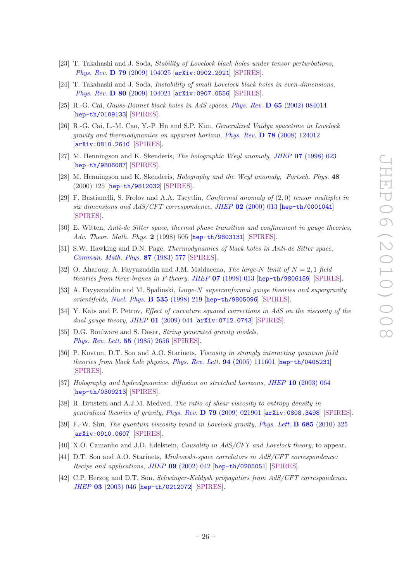- [23] T. Takahashi and J. Soda, *Stability of Lovelock black holes under tensor perturbations*, *Phys. Rev.* D 79 [\(2009\) 104025](http://dx.doi.org/10.1103/PhysRevD.79.104025) [[arXiv:0902.2921](http://arxiv.org/abs/0902.2921)] [\[SPIRES\]](http://www-spires.slac.stanford.edu/spires/find/hep/www?eprint=0902.2921).
- [24] T. Takahashi and J. Soda, *Instability of small Lovelock black holes in even-dimensions*, *Phys. Rev.* D 80 [\(2009\) 104021](http://dx.doi.org/10.1103/PhysRevD.80.104021) [[arXiv:0907.0556](http://arxiv.org/abs/0907.0556)] [\[SPIRES\]](http://www-spires.slac.stanford.edu/spires/find/hep/www?eprint=0907.0556).
- <span id="page-27-15"></span>[25] R.-G. Cai, *Gauss-Bonnet black holes in AdS spaces*, *Phys. Rev.* D 65 [\(2002\) 084014](http://dx.doi.org/10.1103/PhysRevD.65.084014) [[hep-th/0109133](http://arxiv.org/abs/hep-th/0109133)] [\[SPIRES\]](http://www-spires.slac.stanford.edu/spires/find/hep/www?eprint=HEP-TH/0109133).
- <span id="page-27-0"></span>[26] R.-G. Cai, L.-M. Cao, Y.-P. Hu and S.P. Kim, *Generalized Vaidya spacetime in Lovelock gravity and thermodynamics on apparent horizon*, *Phys. Rev.* D 78 [\(2008\) 124012](http://dx.doi.org/10.1103/PhysRevD.78.124012) [[arXiv:0810.2610](http://arxiv.org/abs/0810.2610)] [\[SPIRES\]](http://www-spires.slac.stanford.edu/spires/find/hep/www?eprint=0810.2610).
- <span id="page-27-1"></span>[27] M. Henningson and K. Skenderis, *The holographic Weyl anomaly*, *JHEP* 07 [\(1998\) 023](http://dx.doi.org/10.1088/1126-6708/1998/07/023) [[hep-th/9806087](http://arxiv.org/abs/hep-th/9806087)] [\[SPIRES\]](http://www-spires.slac.stanford.edu/spires/find/hep/www?eprint=HEP-TH/9806087).
- <span id="page-27-2"></span>[28] M. Henningson and K. Skenderis, *Holography and the Weyl anomaly*, *Fortsch. Phys.* 48 (2000) 125 [[hep-th/9812032](http://arxiv.org/abs/hep-th/9812032)] [\[SPIRES\]](http://www-spires.slac.stanford.edu/spires/find/hep/www?eprint=HEP-TH/9812032).
- <span id="page-27-3"></span>[29] F. Bastianelli, S. Frolov and A.A. Tseytlin, *Conformal anomaly of* (2, 0) *tensor multiplet in six dimensions and AdS/CFT correspondence*, *JHEP* 02 [\(2000\) 013](http://dx.doi.org/10.1088/1126-6708/2000/02/013) [[hep-th/0001041](http://arxiv.org/abs/hep-th/0001041)] [\[SPIRES\]](http://www-spires.slac.stanford.edu/spires/find/hep/www?eprint=HEP-TH/0001041).
- <span id="page-27-4"></span>[30] E. Witten, *Anti-de Sitter space, thermal phase transition and confinement in gauge theories*, *Adv. Theor. Math. Phys.* 2 (1998) 505 [[hep-th/9803131](http://arxiv.org/abs/hep-th/9803131)] [\[SPIRES\]](http://www-spires.slac.stanford.edu/spires/find/hep/www?eprint=HEP-TH/9803131).
- <span id="page-27-5"></span>[31] S.W. Hawking and D.N. Page, *Thermodynamics of black holes in Anti-de Sitter space*, *[Commun. Math. Phys.](http://dx.doi.org/10.1007/BF01208266)* 87 (1983) 577 [\[SPIRES\]](http://www-spires.slac.stanford.edu/spires/find/hep/www?j=CMPHA,87,577).
- <span id="page-27-6"></span>[32] O. Aharony, A. Fayyazuddin and J.M. Maldacena, *The large-*N *limit of* N = 2, 1 *field theories from three-branes in F-theory*, *JHEP* 07 [\(1998\) 013](http://dx.doi.org/10.1088/1126-6708/1998/07/013) [[hep-th/9806159](http://arxiv.org/abs/hep-th/9806159)] [\[SPIRES\]](http://www-spires.slac.stanford.edu/spires/find/hep/www?eprint=HEP-TH/9806159).
- [33] A. Fayyazuddin and M. Spalinski, *Large-*N *superconformal gauge theories and supergravity orientifolds*, *[Nucl. Phys.](http://dx.doi.org/10.1016/S0550-3213(98)00545-8)* B 535 (1998) 219 [[hep-th/9805096](http://arxiv.org/abs/hep-th/9805096)] [\[SPIRES\]](http://www-spires.slac.stanford.edu/spires/find/hep/www?eprint=HEP-TH/9805096).
- <span id="page-27-7"></span>[34] Y. Kats and P. Petrov, *Effect of curvature squared corrections in AdS on the viscosity of the dual gauge theory*, *JHEP* 01 [\(2009\) 044](http://dx.doi.org/10.1088/1126-6708/2009/01/044) [[arXiv:0712.0743](http://arxiv.org/abs/0712.0743)] [\[SPIRES\]](http://www-spires.slac.stanford.edu/spires/find/hep/www?eprint=0712.0743).
- <span id="page-27-8"></span>[35] D.G. Boulware and S. Deser, *String generated gravity models*, *[Phys. Rev. Lett.](http://dx.doi.org/10.1103/PhysRevLett.55.2656)* 55 (1985) 2656 [\[SPIRES\]](http://www-spires.slac.stanford.edu/spires/find/hep/www?j=PRLTA,55,2656).
- <span id="page-27-9"></span>[36] P. Kovtun, D.T. Son and A.O. Starinets, *Viscosity in strongly interacting quantum field theories from black hole physics*, *[Phys. Rev. Lett.](http://dx.doi.org/10.1103/PhysRevLett.94.111601)* 94 (2005) 111601 [[hep-th/0405231](http://arxiv.org/abs/hep-th/0405231)] [\[SPIRES\]](http://www-spires.slac.stanford.edu/spires/find/hep/www?eprint=HEP-TH/0405231).
- <span id="page-27-10"></span>[37] *Holography and hydrodynamics: diffusion on stretched horizons*, *JHEP* 10 [\(2003\) 064](http://dx.doi.org/10.1088/1126-6708/2003/10/064) [[hep-th/0309213](http://arxiv.org/abs/hep-th/0309213)] [\[SPIRES\]](http://www-spires.slac.stanford.edu/spires/find/hep/www?eprint=HEP-TH/0309213).
- <span id="page-27-11"></span>[38] R. Brustein and A.J.M. Medved, *The ratio of shear viscosity to entropy density in generalized theories of gravity*, *Phys. Rev.* D 79 [\(2009\) 021901](http://dx.doi.org/10.1103/PhysRevD.79.021901) [[arXiv:0808.3498](http://arxiv.org/abs/0808.3498)] [\[SPIRES\]](http://www-spires.slac.stanford.edu/spires/find/hep/www?eprint=0808.3498).
- <span id="page-27-12"></span>[39] F.-W. Shu, *The quantum viscosity bound in Lovelock gravity*, *[Phys. Lett.](http://dx.doi.org/10.1016/j.physletb.2010.02.006)* B 685 (2010) 325 [[arXiv:0910.0607](http://arxiv.org/abs/0910.0607)] [\[SPIRES\]](http://www-spires.slac.stanford.edu/spires/find/hep/www?eprint=0910.0607).
- <span id="page-27-13"></span>[40] X.O. Camanho and J.D. Edelstein, *Causality in AdS/CFT and Lovelock theory*, to appear.
- <span id="page-27-14"></span>[41] D.T. Son and A.O. Starinets, *Minkowski-space correlators in AdS/CFT correspondence: Recipe and applications*, *JHEP* 09 [\(2002\) 042](http://dx.doi.org/10.1088/1126-6708/2002/09/042) [[hep-th/0205051](http://arxiv.org/abs/hep-th/0205051)] [\[SPIRES\]](http://www-spires.slac.stanford.edu/spires/find/hep/www?eprint=HEP-TH/0205051).
- [42] C.P. Herzog and D.T. Son, *Schwinger-Keldysh propagators from AdS/CFT correspondence*, *JHEP* 03 [\(2003\) 046](http://dx.doi.org/10.1088/1126-6708/2003/03/046) [[hep-th/0212072](http://arxiv.org/abs/hep-th/0212072)] [\[SPIRES\]](http://www-spires.slac.stanford.edu/spires/find/hep/www?eprint=HEP-TH/0212072).